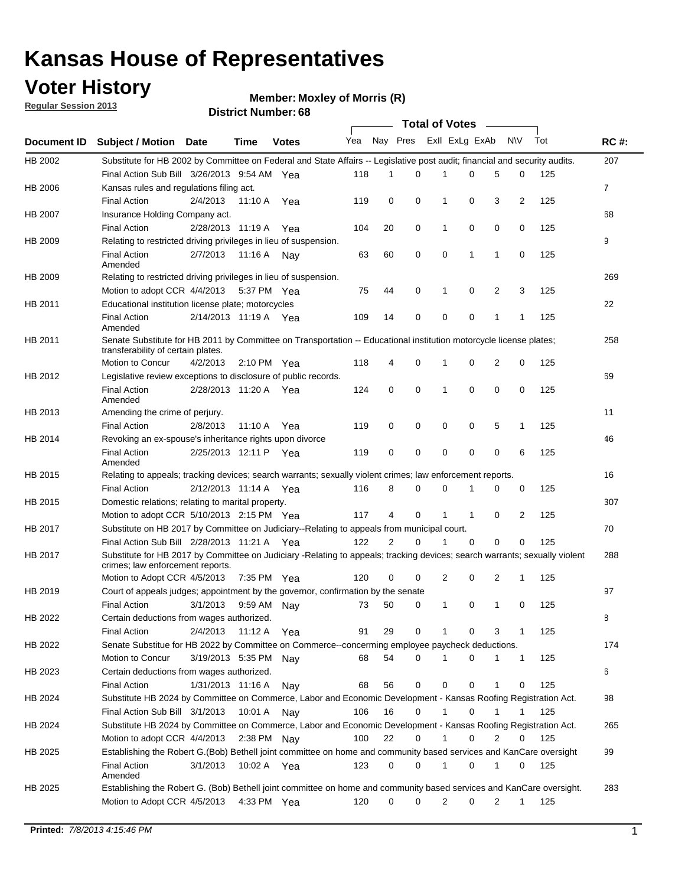### **Voter History**

**Member: Moxley of Morris (R)** 

**Regular Session 2013**

|                    |                                                                                                                                                                |                       | <b>DISTRICT MAILINGL'S</b> |              |     |                |             | Total of Votes – |             |                |                |     |                |
|--------------------|----------------------------------------------------------------------------------------------------------------------------------------------------------------|-----------------------|----------------------------|--------------|-----|----------------|-------------|------------------|-------------|----------------|----------------|-----|----------------|
| <b>Document ID</b> | <b>Subject / Motion</b>                                                                                                                                        | <b>Date</b>           | Time                       | <b>Votes</b> | Yea | Nay Pres       |             | Exll ExLg ExAb   |             |                | N\V            | Tot | <b>RC#:</b>    |
| HB 2002            | Substitute for HB 2002 by Committee on Federal and State Affairs -- Legislative post audit; financial and security audits.                                     |                       |                            |              |     |                |             |                  |             |                |                |     | 207            |
|                    | Final Action Sub Bill 3/26/2013 9:54 AM Yea                                                                                                                    |                       |                            |              | 118 | 1              | 0           |                  | 0           | 5              | 0              | 125 |                |
| HB 2006            | Kansas rules and regulations filing act.                                                                                                                       |                       |                            |              |     |                |             |                  |             |                |                |     | $\overline{7}$ |
|                    | <b>Final Action</b>                                                                                                                                            | 2/4/2013              | 11:10 A                    | Yea          | 119 | 0              | 0           | 1                | 0           | 3              | $\overline{2}$ | 125 |                |
| HB 2007            | Insurance Holding Company act.                                                                                                                                 |                       |                            |              |     |                |             |                  |             |                |                |     | 68             |
|                    | <b>Final Action</b>                                                                                                                                            | 2/28/2013 11:19 A     |                            | Yea          | 104 | 20             | 0           | 1                | 0           | 0              | 0              | 125 |                |
| HB 2009            | Relating to restricted driving privileges in lieu of suspension.                                                                                               |                       |                            |              |     |                |             |                  |             |                |                |     | 9              |
|                    | <b>Final Action</b><br>Amended                                                                                                                                 | 2/7/2013              | 11:16 A                    | Nav          | 63  | 60             | 0           | 0                | 1           | 1              | 0              | 125 |                |
| HB 2009            | Relating to restricted driving privileges in lieu of suspension.                                                                                               |                       |                            |              |     |                |             |                  |             |                |                |     | 269            |
|                    | Motion to adopt CCR 4/4/2013                                                                                                                                   |                       | 5:37 PM Yea                |              | 75  | 44             | 0           | 1                | 0           | 2              | 3              | 125 |                |
| HB 2011            | Educational institution license plate; motorcycles                                                                                                             |                       |                            |              |     |                |             |                  |             |                |                |     | 22             |
|                    | <b>Final Action</b><br>Amended                                                                                                                                 | 2/14/2013 11:19 A     |                            | Yea          | 109 | 14             | $\mathbf 0$ | 0                | 0           | 1              | 1              | 125 |                |
| HB 2011            | Senate Substitute for HB 2011 by Committee on Transportation -- Educational institution motorcycle license plates;<br>transferability of certain plates.       |                       |                            |              |     |                |             |                  |             |                |                |     | 258            |
|                    | Motion to Concur                                                                                                                                               | 4/2/2013              | $2:10 \text{ PM}$ Yea      |              | 118 | 4              | 0           | 1                | 0           | $\overline{2}$ | 0              | 125 |                |
| HB 2012            | Legislative review exceptions to disclosure of public records.                                                                                                 |                       |                            |              |     |                |             |                  |             |                |                |     | 69             |
|                    | <b>Final Action</b><br>Amended                                                                                                                                 | 2/28/2013 11:20 A Yea |                            |              | 124 | 0              | 0           | 1                | 0           | 0              | 0              | 125 |                |
| HB 2013            | Amending the crime of perjury.                                                                                                                                 |                       |                            |              |     |                |             |                  |             |                |                |     | 11             |
|                    | <b>Final Action</b>                                                                                                                                            | 2/8/2013              | 11:10 A                    | Yea          | 119 | 0              | 0           | 0                | 0           | 5              | $\mathbf{1}$   | 125 |                |
| HB 2014            | Revoking an ex-spouse's inheritance rights upon divorce                                                                                                        |                       |                            |              |     |                |             |                  |             |                |                |     | 46             |
|                    | <b>Final Action</b><br>Amended                                                                                                                                 | 2/25/2013 12:11 P     |                            | Yea          | 119 | 0              | 0           | 0                | 0           | 0              | 6              | 125 |                |
| HB 2015            | Relating to appeals; tracking devices; search warrants; sexually violent crimes; law enforcement reports.                                                      |                       |                            |              |     |                |             |                  |             |                |                |     | 16             |
|                    | <b>Final Action</b>                                                                                                                                            | 2/12/2013 11:14 A     |                            | Yea          | 116 | 8              | 0           | 0                | 1           | 0              | 0              | 125 |                |
| HB 2015            | Domestic relations; relating to marital property.                                                                                                              |                       |                            |              |     |                |             |                  |             |                |                |     | 307            |
|                    | Motion to adopt CCR 5/10/2013 2:15 PM Yea                                                                                                                      |                       |                            |              | 117 | 4              | 0           | 1                | 1           | 0              | 2              | 125 |                |
| HB 2017            | Substitute on HB 2017 by Committee on Judiciary--Relating to appeals from municipal court.                                                                     |                       |                            |              |     |                |             |                  |             |                |                |     | 70             |
|                    | Final Action Sub Bill 2/28/2013 11:21 A Yea                                                                                                                    |                       |                            |              | 122 | $\overline{2}$ | $\Omega$    |                  | $\mathbf 0$ | $\Omega$       | 0              | 125 |                |
| HB 2017            | Substitute for HB 2017 by Committee on Judiciary -Relating to appeals; tracking devices; search warrants; sexually violent<br>crimes; law enforcement reports. |                       |                            |              |     |                |             |                  |             |                |                |     | 288            |
|                    | Motion to Adopt CCR 4/5/2013                                                                                                                                   |                       | 7:35 PM Yea                |              | 120 | 0              | 0           | 2                | 0           | 2              | 1              | 125 |                |
| HB 2019            | Court of appeals judges; appointment by the governor, confirmation by the senate                                                                               |                       |                            |              |     |                |             |                  |             |                |                |     | 97             |
|                    | <b>Final Action</b>                                                                                                                                            | 3/1/2013              | 9:59 AM Nay                |              | 73  | 50             | 0           | 1                | 0           | 1              | 0              | 125 |                |
| HB 2022            | Certain deductions from wages authorized.                                                                                                                      |                       |                            |              |     |                |             |                  |             |                |                |     | 8              |
|                    | Final Action                                                                                                                                                   | 2/4/2013              | 11:12 A                    | Yea          | 91  | 29             | 0           |                  | 0           | 3              | 1              | 125 |                |
| HB 2022            | Senate Substitue for HB 2022 by Committee on Commerce--concerming employee paycheck deductions.                                                                |                       |                            |              |     |                |             |                  |             |                |                |     | 174            |
|                    | Motion to Concur                                                                                                                                               | 3/19/2013 5:35 PM     |                            | Nay          | 68  | 54             | 0           | 1                | 0           | 1              | $\mathbf{1}$   | 125 |                |
| HB 2023            | Certain deductions from wages authorized.                                                                                                                      |                       |                            |              |     |                |             |                  |             |                |                |     | 6              |
|                    | Final Action                                                                                                                                                   | 1/31/2013 11:16 A     |                            | Nay          | 68  | 56             | 0           | 0                | 0           | 1              | 0              | 125 |                |
| HB 2024            | Substitute HB 2024 by Committee on Commerce, Labor and Economic Development - Kansas Roofing Registration Act.                                                 |                       |                            |              |     |                |             |                  |             |                |                |     | 98             |
|                    | Final Action Sub Bill 3/1/2013                                                                                                                                 |                       | 10:01 A                    | Nav          | 106 | 16             | 0           | 1                | 0           | 1              | 1              | 125 |                |
| HB 2024            | Substitute HB 2024 by Committee on Commerce, Labor and Economic Development - Kansas Roofing Registration Act.                                                 |                       |                            |              |     |                |             |                  |             |                |                |     | 265            |
|                    | Motion to adopt CCR 4/4/2013                                                                                                                                   |                       | 2:38 PM                    | Nav          | 100 | 22             | 0           | 1                | 0           | 2              | 0              | 125 |                |
| HB 2025            | Establishing the Robert G.(Bob) Bethell joint committee on home and community based services and KanCare oversight                                             |                       |                            |              |     |                |             |                  |             |                |                |     | 99             |
|                    | <b>Final Action</b><br>Amended                                                                                                                                 | 3/1/2013              | 10:02 A Yea                |              | 123 | 0              | 0           | 1                | 0           | 1              | 0              | 125 |                |
| HB 2025            | Establishing the Robert G. (Bob) Bethell joint committee on home and community based services and KanCare oversight.                                           |                       |                            |              |     |                |             |                  |             |                |                |     | 283            |
|                    | Motion to Adopt CCR 4/5/2013                                                                                                                                   |                       | 4:33 PM Yea                |              | 120 | 0              | 0           | 2                | 0           | 2              | $\mathbf{1}$   | 125 |                |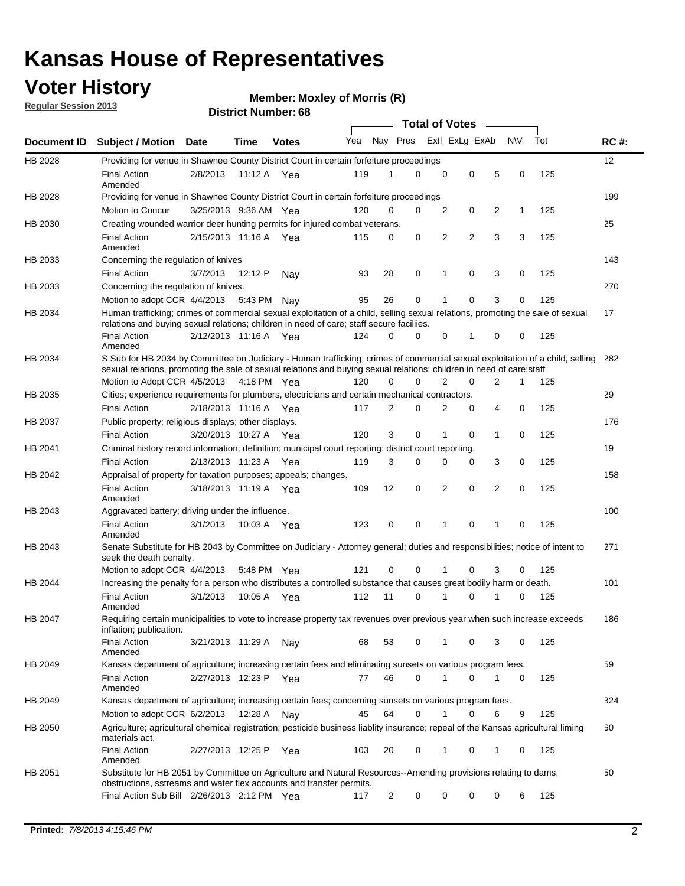### **Voter History**

**Member: Moxley of Morris (R)** 

**Regular Session 2013**

|                |                                                                                                                                                                                                                                                       |                       |         |              |     |                         |   | <b>Total of Votes</b> |   |                |              |     |             |
|----------------|-------------------------------------------------------------------------------------------------------------------------------------------------------------------------------------------------------------------------------------------------------|-----------------------|---------|--------------|-----|-------------------------|---|-----------------------|---|----------------|--------------|-----|-------------|
| Document ID    | <b>Subject / Motion</b>                                                                                                                                                                                                                               | Date                  | Time    | <b>Votes</b> | Yea | Nay Pres Exll ExLg ExAb |   |                       |   |                | <b>NV</b>    | Tot | <b>RC#:</b> |
| <b>HB 2028</b> | Providing for venue in Shawnee County District Court in certain forfeiture proceedings                                                                                                                                                                |                       |         |              |     |                         |   |                       |   |                |              |     | 12          |
|                | <b>Final Action</b><br>Amended                                                                                                                                                                                                                        | 2/8/2013              | 11:12A  | Yea          | 119 | 1                       | 0 | 0                     | 0 | 5              | 0            | 125 |             |
| HB 2028        | Providing for venue in Shawnee County District Court in certain forfeiture proceedings<br>Motion to Concur                                                                                                                                            | 3/25/2013 9:36 AM Yea |         |              | 120 | 0                       | 0 | 2                     | 0 | 2              | 1            | 125 | 199         |
| HB 2030        | Creating wounded warrior deer hunting permits for injured combat veterans.                                                                                                                                                                            |                       |         |              |     |                         |   |                       |   |                |              |     | 25          |
|                | <b>Final Action</b>                                                                                                                                                                                                                                   | 2/15/2013 11:16 A     |         | Yea          | 115 | 0                       | 0 | 2                     | 2 | 3              | 3            | 125 |             |
| HB 2033        | Amended<br>Concerning the regulation of knives                                                                                                                                                                                                        |                       |         |              |     |                         |   |                       |   |                |              |     | 143         |
|                | <b>Final Action</b>                                                                                                                                                                                                                                   | 3/7/2013              | 12:12 P | Nav          | 93  | 28                      | 0 | 1                     | 0 | 3              | 0            | 125 |             |
| HB 2033        | Concerning the regulation of knives.                                                                                                                                                                                                                  |                       |         |              |     |                         |   |                       |   |                |              |     | 270         |
|                | Motion to adopt CCR 4/4/2013 5:43 PM Nay                                                                                                                                                                                                              |                       |         |              | 95  | 26                      | 0 |                       | 0 | 3              | 0            | 125 |             |
| HB 2034        | Human trafficking; crimes of commercial sexual exploitation of a child, selling sexual relations, promoting the sale of sexual<br>relations and buying sexual relations; children in need of care; staff secure faciliies.                            |                       |         |              |     |                         |   |                       |   |                |              |     | 17          |
|                | <b>Final Action</b><br>Amended                                                                                                                                                                                                                        | 2/12/2013 11:16 A Yea |         |              | 124 | $\Omega$                | 0 | 0                     | 1 | 0              | 0            | 125 |             |
| HB 2034        | S Sub for HB 2034 by Committee on Judiciary - Human trafficking; crimes of commercial sexual exploitation of a child, selling<br>sexual relations, promoting the sale of sexual relations and buying sexual relations; children in need of care;staff |                       |         |              |     |                         |   |                       |   |                |              |     | 282         |
|                | Motion to Adopt CCR 4/5/2013 4:18 PM Yea                                                                                                                                                                                                              |                       |         |              | 120 | $\Omega$                | 0 | $\overline{2}$        | 0 | $\overline{2}$ | $\mathbf{1}$ | 125 |             |
| HB 2035        | Cities; experience requirements for plumbers, electricians and certain mechanical contractors.                                                                                                                                                        |                       |         |              |     |                         |   |                       |   |                |              |     | 29          |
|                | <b>Final Action</b>                                                                                                                                                                                                                                   | 2/18/2013 11:16 A     |         | Yea          | 117 | 2                       | 0 | 2                     | 0 | 4              | 0            | 125 |             |
| HB 2037        | Public property; religious displays; other displays.                                                                                                                                                                                                  |                       |         |              |     |                         |   |                       |   |                |              |     | 176         |
|                | <b>Final Action</b>                                                                                                                                                                                                                                   | 3/20/2013 10:27 A Yea |         |              | 120 | 3                       | 0 | 1                     | 0 | 1              | 0            | 125 |             |
| HB 2041        | Criminal history record information; definition; municipal court reporting; district court reporting.                                                                                                                                                 |                       |         |              |     |                         |   |                       |   |                |              |     | 19          |
|                | <b>Final Action</b>                                                                                                                                                                                                                                   | 2/13/2013 11:23 A     |         | Yea          | 119 | 3                       | 0 | 0                     | 0 | 3              | 0            | 125 |             |
| HB 2042        | Appraisal of property for taxation purposes; appeals; changes.                                                                                                                                                                                        |                       |         |              |     |                         |   |                       |   |                |              |     | 158         |
|                | <b>Final Action</b><br>Amended                                                                                                                                                                                                                        | 3/18/2013 11:19 A Yea |         |              | 109 | 12                      | 0 | 2                     | 0 | 2              | 0            | 125 |             |
| HB 2043        | Aggravated battery; driving under the influence.                                                                                                                                                                                                      |                       |         |              |     |                         |   |                       |   |                |              |     | 100         |
|                | <b>Final Action</b><br>Amended                                                                                                                                                                                                                        | 3/1/2013              |         | 10:03 A Yea  | 123 | 0                       | 0 | 1                     | 0 | 1              | 0            | 125 |             |
| HB 2043        | Senate Substitute for HB 2043 by Committee on Judiciary - Attorney general; duties and responsibilities; notice of intent to<br>seek the death penalty.                                                                                               |                       |         |              |     |                         |   |                       |   |                |              |     | 271         |
|                | Motion to adopt CCR 4/4/2013                                                                                                                                                                                                                          |                       |         | 5:48 PM Yea  | 121 | 0                       | 0 | 1                     | 0 | 3              | 0            | 125 |             |
| <b>HB 2044</b> | Increasing the penalty for a person who distributes a controlled substance that causes great bodily harm or death.                                                                                                                                    |                       |         |              |     |                         |   |                       |   |                |              |     | 101         |
|                | <b>Final Action</b><br>Amended                                                                                                                                                                                                                        | 3/1/2013              | 10:05 A | Yea          | 112 | 11                      | 0 | 1                     | 0 | 1              | 0            | 125 |             |
| HB 2047        | Requiring certain municipalities to vote to increase property tax revenues over previous year when such increase exceeds<br>inflation; publication.                                                                                                   |                       |         |              |     |                         |   |                       |   |                |              |     | 186         |
|                | <b>Final Action</b><br>Amended                                                                                                                                                                                                                        | 3/21/2013 11:29 A     |         | Nav          | 68  | 53                      | 0 | 1                     | 0 | 3              | 0            | 125 |             |
| HB 2049        | Kansas department of agriculture; increasing certain fees and eliminating sunsets on various program fees.                                                                                                                                            |                       |         |              |     |                         |   |                       |   |                |              |     | 59          |
|                | <b>Final Action</b><br>Amended                                                                                                                                                                                                                        | 2/27/2013 12:23 P     |         | Yea          | 77  | 46                      | 0 | 1                     | 0 |                | 0            | 125 |             |
| HB 2049        | Kansas department of agriculture; increasing certain fees; concerning sunsets on various program fees.                                                                                                                                                |                       |         |              |     |                         |   |                       |   |                |              |     | 324         |
|                | Motion to adopt CCR 6/2/2013                                                                                                                                                                                                                          |                       | 12:28 A | Nav          | 45  | 64                      | 0 | 1                     | 0 | 6              | 9            | 125 |             |
| HB 2050        | Agriculture; agricultural chemical registration; pesticide business liablity insurance; repeal of the Kansas agricultural liming<br>materials act.                                                                                                    |                       |         |              |     |                         |   |                       |   |                |              |     | 60          |
|                | <b>Final Action</b><br>Amended                                                                                                                                                                                                                        | 2/27/2013 12:25 P     |         | Yea          | 103 | 20                      | 0 |                       | 0 | 1              | 0            | 125 |             |
| HB 2051        | Substitute for HB 2051 by Committee on Agriculture and Natural Resources--Amending provisions relating to dams,<br>obstructions, sstreams and water flex accounts and transfer permits.                                                               |                       |         |              |     |                         |   |                       |   |                |              |     | 50          |
|                | Final Action Sub Bill 2/26/2013 2:12 PM Yea                                                                                                                                                                                                           |                       |         |              | 117 | 2                       | 0 | 0                     | 0 | 0              | 6            | 125 |             |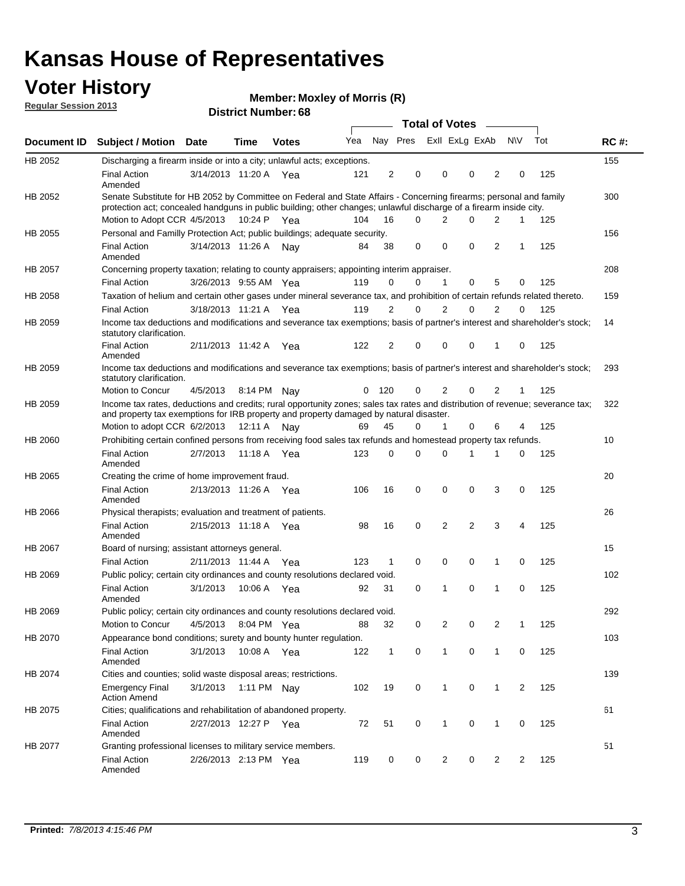### **Voter History**

**Member: Moxley of Morris (R)** 

**Regular Session 2013**

|             |                                                                                                                                                                                                                                          |                       |         |              |     |              |                         | <b>Total of Votes</b> |                |                | $\frac{1}{2}$  |             |     |             |
|-------------|------------------------------------------------------------------------------------------------------------------------------------------------------------------------------------------------------------------------------------------|-----------------------|---------|--------------|-----|--------------|-------------------------|-----------------------|----------------|----------------|----------------|-------------|-----|-------------|
| Document ID | <b>Subject / Motion Date</b>                                                                                                                                                                                                             |                       | Time    | <b>Votes</b> | Yea |              | Nay Pres Exll ExLg ExAb |                       |                |                |                | <b>NV</b>   | Tot | <b>RC#:</b> |
| HB 2052     | Discharging a firearm inside or into a city; unlawful acts; exceptions.                                                                                                                                                                  |                       |         |              |     |              |                         |                       |                |                |                |             |     | 155         |
|             | <b>Final Action</b><br>Amended                                                                                                                                                                                                           | 3/14/2013 11:20 A Yea |         |              | 121 | 2            | 0                       |                       | 0              | 0              | 2              | 0           | 125 |             |
| HB 2052     | Senate Substitute for HB 2052 by Committee on Federal and State Affairs - Concerning firearms; personal and family<br>protection act; concealed handguns in public building; other changes; unlawful discharge of a firearm inside city. |                       |         |              |     |              |                         |                       |                |                |                |             |     | 300         |
|             | Motion to Adopt CCR 4/5/2013 10:24 P Yea                                                                                                                                                                                                 |                       |         |              | 104 | 16           |                         | $\Omega$              | 2              | 0              | $\overline{2}$ | $\mathbf 1$ | 125 |             |
| HB 2055     | Personal and Familly Protection Act; public buildings; adequate security.                                                                                                                                                                |                       |         |              |     |              |                         |                       |                |                |                |             |     | 156         |
|             | <b>Final Action</b><br>Amended                                                                                                                                                                                                           | 3/14/2013 11:26 A     |         | Nay          | 84  | 38           |                         | 0                     | $\mathbf 0$    | 0              | 2              | 1           | 125 |             |
| HB 2057     | Concerning property taxation; relating to county appraisers; appointing interim appraiser.                                                                                                                                               |                       |         |              |     |              |                         |                       |                |                |                |             |     | 208         |
|             | <b>Final Action</b>                                                                                                                                                                                                                      | 3/26/2013 9:55 AM Yea |         |              | 119 | 0            | 0                       |                       | $\mathbf{1}$   | 0              | 5              | 0           | 125 |             |
| HB 2058     | Taxation of helium and certain other gases under mineral severance tax, and prohibition of certain refunds related thereto.                                                                                                              |                       |         |              |     |              |                         |                       |                |                |                |             |     | 159         |
|             | <b>Final Action</b>                                                                                                                                                                                                                      | 3/18/2013 11:21 A Yea |         |              | 119 | 2            | 0                       |                       | 2              | 0              | $\overline{2}$ | $\Omega$    | 125 |             |
| HB 2059     | Income tax deductions and modifications and severance tax exemptions; basis of partner's interest and shareholder's stock;<br>statutory clarification.                                                                                   |                       |         |              |     |              |                         |                       |                |                |                |             |     | 14          |
|             | <b>Final Action</b><br>Amended                                                                                                                                                                                                           | 2/11/2013 11:42 A     |         | Yea          | 122 | 2            | 0                       |                       | 0              | 0              | 1              | 0           | 125 |             |
| HB 2059     | Income tax deductions and modifications and severance tax exemptions; basis of partner's interest and shareholder's stock;<br>statutory clarification.                                                                                   |                       |         |              |     |              |                         |                       |                |                |                |             |     | 293         |
|             | Motion to Concur                                                                                                                                                                                                                         | 4/5/2013              | 8:14 PM | Nav          | 0   | 120          | 0                       |                       | 2              | 0              | $\overline{2}$ | 1           | 125 |             |
| HB 2059     | Income tax rates, deductions and credits; rural opportunity zones; sales tax rates and distribution of revenue; severance tax;<br>and property tax exemptions for IRB property and property damaged by natural disaster.                 |                       |         |              |     |              |                         |                       |                |                |                |             |     | 322         |
|             | Motion to adopt CCR 6/2/2013                                                                                                                                                                                                             |                       | 12:11 A | Nav          | 69  | 45           | 0                       |                       | 1              | 0              | 6              | 4           | 125 |             |
| HB 2060     | Prohibiting certain confined persons from receiving food sales tax refunds and homestead property tax refunds.                                                                                                                           |                       |         |              |     |              |                         |                       |                |                |                |             |     | 10          |
|             | <b>Final Action</b><br>Amended                                                                                                                                                                                                           | 2/7/2013              | 11:18 A | Yea          | 123 | 0            | 0                       |                       | $\Omega$       | 1              | 1              | 0           | 125 |             |
| HB 2065     | Creating the crime of home improvement fraud.                                                                                                                                                                                            |                       |         |              |     |              |                         |                       |                |                |                |             |     | 20          |
|             | <b>Final Action</b><br>Amended                                                                                                                                                                                                           | 2/13/2013 11:26 A Yea |         |              | 106 | 16           | $\mathbf 0$             |                       | 0              | 0              | 3              | 0           | 125 |             |
| HB 2066     | Physical therapists; evaluation and treatment of patients.                                                                                                                                                                               |                       |         |              |     |              |                         |                       |                |                |                |             |     | 26          |
|             | <b>Final Action</b><br>Amended                                                                                                                                                                                                           | 2/15/2013 11:18 A Yea |         |              | 98  | 16           | 0                       |                       | 2              | $\overline{2}$ | 3              | 4           | 125 |             |
| HB 2067     | Board of nursing; assistant attorneys general.                                                                                                                                                                                           |                       |         |              |     |              |                         |                       |                |                |                |             |     | 15          |
|             | <b>Final Action</b>                                                                                                                                                                                                                      | 2/11/2013 11:44 A     |         | Yea          | 123 | 1            | $\mathbf 0$             |                       | $\mathbf 0$    | 0              | 1              | 0           | 125 |             |
| HB 2069     | Public policy; certain city ordinances and county resolutions declared void.                                                                                                                                                             |                       |         |              |     |              |                         |                       |                |                |                |             |     | 102         |
|             | <b>Final Action</b><br>Amended                                                                                                                                                                                                           | 3/1/2013              | 10:06 A | Yea          | 92  | 31           | $\mathbf 0$             |                       | 1              | 0              | 1              | $\mathbf 0$ | 125 |             |
| HB 2069     | Public policy; certain city ordinances and county resolutions declared void.                                                                                                                                                             |                       |         |              |     |              |                         |                       |                |                |                |             |     | 292         |
|             | Motion to Concur                                                                                                                                                                                                                         | 4/5/2013              |         | 8:04 PM Yea  | 88  | 32           | 0                       |                       | $\overline{2}$ | 0              | $\overline{2}$ | 1           | 125 |             |
| HB 2070     | Appearance bond conditions; surety and bounty hunter regulation.                                                                                                                                                                         |                       |         |              |     |              |                         |                       |                |                |                |             |     | 103         |
|             | <b>Final Action</b><br>Amended                                                                                                                                                                                                           | 3/1/2013              |         | 10:08 A Yea  | 122 | $\mathbf{1}$ | $\mathbf 0$             |                       | $\mathbf{1}$   | 0              | 1              | 0           | 125 |             |
| HB 2074     | Cities and counties; solid waste disposal areas; restrictions.                                                                                                                                                                           |                       |         |              |     |              |                         |                       |                |                |                |             |     | 139         |
|             | <b>Emergency Final</b><br><b>Action Amend</b>                                                                                                                                                                                            | 3/1/2013              |         | 1:11 PM Nay  | 102 | 19           | 0                       |                       | $\mathbf{1}$   | 0              | 1              | 2           | 125 |             |
| HB 2075     | Cities; qualifications and rehabilitation of abandoned property.                                                                                                                                                                         |                       |         |              |     |              |                         |                       |                |                |                |             |     | 61          |
|             | <b>Final Action</b><br>Amended                                                                                                                                                                                                           | 2/27/2013 12:27 P     |         | Yea          | 72  | 51           | 0                       |                       | 1              | 0              | 1              | 0           | 125 |             |
| HB 2077     | Granting professional licenses to military service members.<br><b>Final Action</b><br>Amended                                                                                                                                            | 2/26/2013 2:13 PM Yea |         |              | 119 | 0            |                         | 0                     | $\overline{2}$ | 0              | $\overline{2}$ | 2           | 125 | 51          |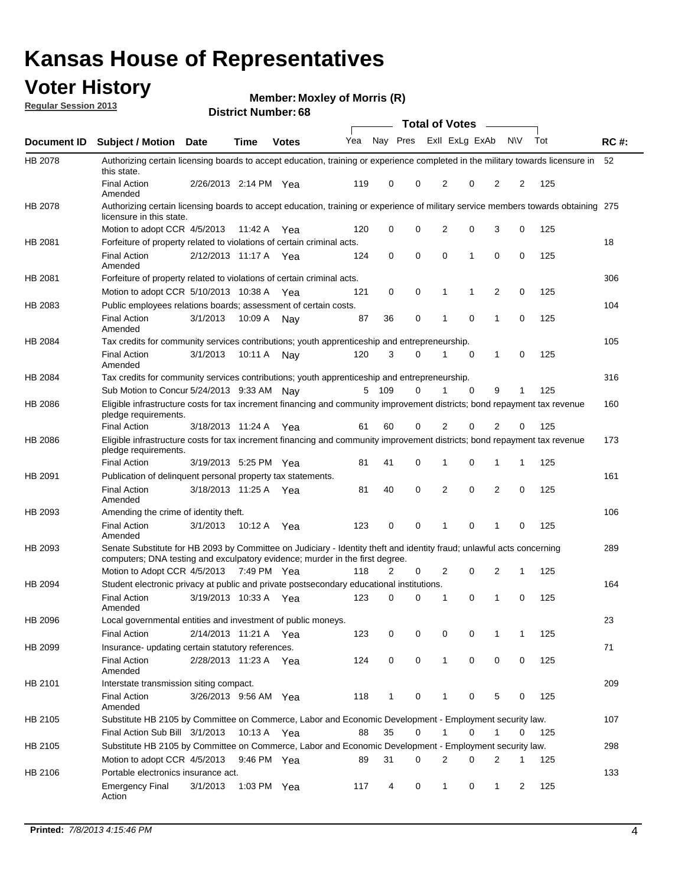### **Voter History**

**Member: Moxley of Morris (R)** 

**Regular Session 2013**

|                    |                                                                                                                                                                                                       |                       |             | <b>DISUIGLIVAIIIDEL.00</b> |     |              |          |                | Total of Votes – |                |                |     |             |
|--------------------|-------------------------------------------------------------------------------------------------------------------------------------------------------------------------------------------------------|-----------------------|-------------|----------------------------|-----|--------------|----------|----------------|------------------|----------------|----------------|-----|-------------|
| <b>Document ID</b> | <b>Subject / Motion</b>                                                                                                                                                                               | <b>Date</b>           | Time        | <b>Votes</b>               | Yea | Nay Pres     |          |                | Exll ExLg ExAb   |                | <b>NV</b>      | Tot | <b>RC#:</b> |
| HB 2078            | Authorizing certain licensing boards to accept education, training or experience completed in the military towards licensure in                                                                       |                       |             |                            |     |              |          |                |                  |                |                |     | 52          |
|                    | this state.<br><b>Final Action</b><br>Amended                                                                                                                                                         | 2/26/2013 2:14 PM Yea |             |                            | 119 | 0            | 0        | 2              | 0                | 2              | 2              | 125 |             |
| HB 2078            | Authorizing certain licensing boards to accept education, training or experience of military service members towards obtaining 275<br>licensure in this state.                                        |                       |             |                            |     |              |          |                |                  |                |                |     |             |
|                    | Motion to adopt CCR 4/5/2013                                                                                                                                                                          |                       | 11:42 A     | Yea                        | 120 | 0            | 0        | 2              | 0                | 3              | 0              | 125 |             |
| HB 2081            | Forfeiture of property related to violations of certain criminal acts.                                                                                                                                |                       |             |                            |     |              |          |                |                  |                |                |     | 18          |
|                    | <b>Final Action</b><br>Amended                                                                                                                                                                        | 2/12/2013 11:17 A Yea |             |                            | 124 | 0            | 0        | 0              | 1                | 0              | 0              | 125 |             |
| HB 2081            | Forfeiture of property related to violations of certain criminal acts.                                                                                                                                |                       |             |                            |     |              |          |                |                  |                |                |     | 306         |
|                    | Motion to adopt CCR 5/10/2013 10:38 A                                                                                                                                                                 |                       |             | Yea                        | 121 | 0            | 0        | 1              | 1                | 2              | 0              | 125 |             |
| HB 2083            | Public employees relations boards; assessment of certain costs.                                                                                                                                       |                       |             |                            |     |              |          |                |                  |                |                |     | 104         |
|                    | <b>Final Action</b><br>Amended                                                                                                                                                                        | 3/1/2013              | 10:09 A     | Nay                        | 87  | 36           | 0        | 1              | 0                | 1              | 0              | 125 |             |
| HB 2084            | Tax credits for community services contributions; youth apprenticeship and entrepreneurship.                                                                                                          |                       |             |                            |     |              |          |                |                  |                |                |     | 105         |
|                    | <b>Final Action</b><br>Amended                                                                                                                                                                        | 3/1/2013              | 10:11 A     | Nav                        | 120 | 3            | $\Omega$ | 1              | 0                | 1              | 0              | 125 |             |
| HB 2084            | Tax credits for community services contributions; youth apprenticeship and entrepreneurship.                                                                                                          |                       |             |                            |     |              |          |                |                  |                |                |     | 316         |
|                    | Sub Motion to Concur 5/24/2013 9:33 AM Nav                                                                                                                                                            |                       |             |                            | 5   | 109          | 0        |                | $\Omega$         | 9              | 1              | 125 |             |
| HB 2086            | Eligible infrastructure costs for tax increment financing and community improvement districts; bond repayment tax revenue<br>pledge requirements.                                                     |                       |             |                            |     |              |          |                |                  |                |                |     | 160         |
|                    | Final Action                                                                                                                                                                                          | 3/18/2013 11:24 A     |             | Yea                        | 61  | 60           | 0        | $\overline{2}$ | 0                | 2              | 0              | 125 |             |
| HB 2086            | Eligible infrastructure costs for tax increment financing and community improvement districts; bond repayment tax revenue<br>pledge requirements.                                                     |                       |             |                            |     |              |          |                |                  |                |                |     | 173         |
|                    | <b>Final Action</b>                                                                                                                                                                                   | 3/19/2013 5:25 PM     |             | Yea                        | 81  | 41           | 0        | 1              | 0                | 1              | 1              | 125 |             |
| HB 2091            | Publication of delinquent personal property tax statements.                                                                                                                                           |                       |             |                            |     |              |          |                |                  |                |                |     | 161         |
|                    | <b>Final Action</b><br>Amended                                                                                                                                                                        | 3/18/2013 11:25 A     |             | Yea                        | 81  | 40           | $\Omega$ | 2              | 0                | $\overline{2}$ | 0              | 125 |             |
| HB 2093            | Amending the crime of identity theft.                                                                                                                                                                 |                       |             |                            |     |              |          |                |                  |                |                |     | 106         |
|                    | <b>Final Action</b><br>Amended                                                                                                                                                                        | 3/1/2013              | 10:12 A     | Yea                        | 123 | 0            | 0        | 1              | 0                | 1              | 0              | 125 |             |
| HB 2093            | Senate Substitute for HB 2093 by Committee on Judiciary - Identity theft and identity fraud; unlawful acts concerning<br>computers; DNA testing and exculpatory evidence; murder in the first degree. |                       |             |                            |     |              |          |                |                  |                |                |     | 289         |
|                    | Motion to Adopt CCR 4/5/2013 7:49 PM Yea                                                                                                                                                              |                       |             |                            | 118 | 2            | 0        | $\overline{2}$ | 0                | 2              | 1              | 125 |             |
| HB 2094            | Student electronic privacy at public and private postsecondary educational institutions.                                                                                                              |                       |             |                            |     |              |          |                |                  |                |                |     | 164         |
|                    | <b>Final Action</b><br>Amended                                                                                                                                                                        | 3/19/2013 10:33 A     |             | Yea                        | 123 | 0            | 0        | 1              | 0                | 1              | 0              | 125 |             |
| HB 2096            | Local governmental entities and investment of public moneys.                                                                                                                                          |                       |             |                            |     |              |          |                |                  |                |                |     | 23          |
|                    | <b>Final Action</b>                                                                                                                                                                                   | 2/14/2013 11:21 A     |             | Yea                        | 123 | 0            | 0        | 0              | 0                | 1              | 1              | 125 |             |
| HB 2099            | Insurance- updating certain statutory references.                                                                                                                                                     |                       |             |                            |     |              |          |                |                  |                |                |     | 71          |
|                    | <b>Final Action</b><br>Amended                                                                                                                                                                        | 2/28/2013 11:23 A     |             | Yea                        | 124 | 0            | 0        | $\mathbf{1}$   | 0                | 0              | 0              | 125 |             |
| HB 2101            | Interstate transmission siting compact.                                                                                                                                                               |                       |             |                            |     |              |          |                |                  |                |                |     | 209         |
|                    | Final Action<br>Amended                                                                                                                                                                               | 3/26/2013 9:56 AM Yea |             |                            | 118 | $\mathbf{1}$ | 0        | 1              | 0                | 5              | 0              | 125 |             |
| HB 2105            | Substitute HB 2105 by Committee on Commerce, Labor and Economic Development - Employment security law.                                                                                                |                       |             |                            |     |              |          |                |                  |                |                |     | 107         |
|                    | Final Action Sub Bill 3/1/2013                                                                                                                                                                        |                       | 10:13 A Yea |                            | 88  | 35           | 0        | 1              | 0                | 1              | 0              | 125 |             |
| HB 2105            | Substitute HB 2105 by Committee on Commerce, Labor and Economic Development - Employment security law.                                                                                                |                       |             |                            |     |              |          |                |                  |                |                |     | 298         |
|                    | Motion to adopt CCR 4/5/2013                                                                                                                                                                          |                       | 9:46 PM Yea |                            | 89  | 31           | 0        | 2              | 0                | 2              | 1              | 125 |             |
| HB 2106            | Portable electronics insurance act.                                                                                                                                                                   |                       |             |                            |     |              |          |                |                  |                |                |     | 133         |
|                    | <b>Emergency Final</b><br>Action                                                                                                                                                                      | 3/1/2013              | 1:03 PM Yea |                            | 117 | 4            | 0        | $\mathbf{1}$   | 0                | $\mathbf 1$    | $\overline{2}$ | 125 |             |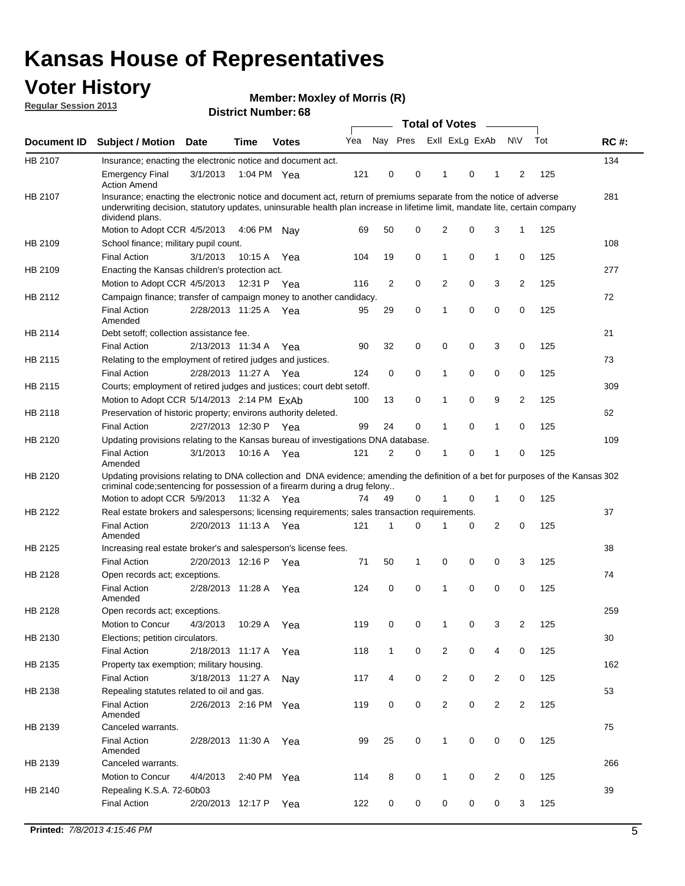### **Voter History**

**Member: Moxley of Morris (R)** 

**Regular Session 2013**

|             |                                                                                                                                                                                                                                                                      |                       |             |              |     |              |   | <b>Total of Votes</b>   |   | $\overline{\phantom{a}}$ |                |     |             |
|-------------|----------------------------------------------------------------------------------------------------------------------------------------------------------------------------------------------------------------------------------------------------------------------|-----------------------|-------------|--------------|-----|--------------|---|-------------------------|---|--------------------------|----------------|-----|-------------|
| Document ID | <b>Subject / Motion</b>                                                                                                                                                                                                                                              | Date                  | <b>Time</b> | <b>Votes</b> | Yea |              |   | Nay Pres Exll ExLg ExAb |   |                          | <b>NV</b>      | Tot | <b>RC#:</b> |
| HB 2107     | Insurance; enacting the electronic notice and document act.                                                                                                                                                                                                          |                       |             |              |     |              |   |                         |   |                          |                |     | 134         |
|             | <b>Emergency Final</b><br><b>Action Amend</b>                                                                                                                                                                                                                        | 3/1/2013              | 1:04 PM Yea |              | 121 | 0            | 0 | 1                       | 0 | 1                        | 2              | 125 |             |
| HB 2107     | Insurance; enacting the electronic notice and document act, return of premiums separate from the notice of adverse<br>underwriting decision, statutory updates, uninsurable health plan increase in lifetime limit, mandate lite, certain company<br>dividend plans. |                       |             |              |     |              |   |                         |   |                          |                |     | 281         |
|             | Motion to Adopt CCR 4/5/2013                                                                                                                                                                                                                                         |                       | 4:06 PM     | Nav          | 69  | 50           | 0 | $\overline{2}$          | 0 | 3                        | 1              | 125 |             |
| HB 2109     | School finance; military pupil count.                                                                                                                                                                                                                                |                       |             |              |     |              |   |                         |   |                          |                |     | 108         |
|             | <b>Final Action</b>                                                                                                                                                                                                                                                  | 3/1/2013              | 10:15A      | Yea          | 104 | 19           | 0 | 1                       | 0 | $\mathbf{1}$             | 0              | 125 |             |
| HB 2109     | Enacting the Kansas children's protection act.                                                                                                                                                                                                                       |                       |             |              |     |              |   |                         |   |                          |                |     | 277         |
|             | Motion to Adopt CCR 4/5/2013                                                                                                                                                                                                                                         |                       | 12:31 P Yea |              | 116 | 2            | 0 | 2                       | 0 | 3                        | 2              | 125 |             |
| HB 2112     | Campaign finance; transfer of campaign money to another candidacy.                                                                                                                                                                                                   |                       |             |              |     |              |   |                         |   |                          |                |     | 72          |
|             | <b>Final Action</b><br>Amended                                                                                                                                                                                                                                       | 2/28/2013 11:25 A Yea |             |              | 95  | 29           | 0 | 1                       | 0 | 0                        | 0              | 125 |             |
| HB 2114     | Debt setoff; collection assistance fee.                                                                                                                                                                                                                              |                       |             |              |     |              |   |                         |   |                          |                |     | 21          |
|             | <b>Final Action</b>                                                                                                                                                                                                                                                  | 2/13/2013 11:34 A     |             | Yea          | 90  | 32           | 0 | 0                       | 0 | 3                        | 0              | 125 |             |
| HB 2115     | Relating to the employment of retired judges and justices.                                                                                                                                                                                                           |                       |             |              |     |              |   |                         |   |                          |                |     | 73          |
|             | <b>Final Action</b>                                                                                                                                                                                                                                                  | 2/28/2013 11:27 A     |             | Yea          | 124 | 0            | 0 | 1                       | 0 | 0                        | 0              | 125 |             |
| HB 2115     | Courts; employment of retired judges and justices; court debt setoff.                                                                                                                                                                                                |                       |             |              |     |              |   |                         |   |                          |                |     | 309         |
|             | Motion to Adopt CCR 5/14/2013 2:14 PM ExAb                                                                                                                                                                                                                           |                       |             |              | 100 | 13           | 0 | 1                       | 0 | 9                        | 2              | 125 |             |
| HB 2118     | Preservation of historic property; environs authority deleted.                                                                                                                                                                                                       |                       |             |              |     |              |   |                         |   |                          |                |     | 62          |
|             | <b>Final Action</b>                                                                                                                                                                                                                                                  | 2/27/2013 12:30 P     |             | Yea          | 99  | 24           | 0 |                         | 0 | 1                        | 0              | 125 |             |
| HB 2120     | Updating provisions relating to the Kansas bureau of investigations DNA database.                                                                                                                                                                                    |                       |             |              |     |              |   |                         |   |                          |                |     | 109         |
|             | <b>Final Action</b><br>Amended                                                                                                                                                                                                                                       | 3/1/2013              | 10:16 A     | Yea          | 121 | 2            | 0 | 1                       | 0 | 1                        | 0              | 125 |             |
| HB 2120     | Updating provisions relating to DNA collection and DNA evidence; amending the definition of a bet for purposes of the Kansas 302                                                                                                                                     |                       |             |              |     |              |   |                         |   |                          |                |     |             |
|             | criminal code; sentencing for possession of a firearm during a drug felony<br>Motion to adopt CCR 5/9/2013                                                                                                                                                           |                       | 11:32 A Yea |              | 74  | 49           | 0 |                         | 0 | 1                        | 0              | 125 |             |
| HB 2122     | Real estate brokers and salespersons; licensing requirements; sales transaction requirements.                                                                                                                                                                        |                       |             |              |     |              |   |                         |   |                          |                |     | 37          |
|             | <b>Final Action</b><br>Amended                                                                                                                                                                                                                                       | 2/20/2013 11:13 A Yea |             |              | 121 | 1            | 0 |                         | 0 | $\overline{2}$           | 0              | 125 |             |
| HB 2125     | Increasing real estate broker's and salesperson's license fees.                                                                                                                                                                                                      |                       |             |              |     |              |   |                         |   |                          |                |     | 38          |
|             | <b>Final Action</b>                                                                                                                                                                                                                                                  | 2/20/2013 12:16 P     |             | Yea          | 71  | 50           | 1 | 0                       | 0 | 0                        | 3              | 125 |             |
| HB 2128     | Open records act; exceptions.                                                                                                                                                                                                                                        |                       |             |              |     |              |   |                         |   |                          |                |     | 74          |
|             | <b>Final Action</b><br>Amended                                                                                                                                                                                                                                       | 2/28/2013 11:28 A     |             | Yea          | 124 | 0            | 0 | 1                       | 0 | 0                        | 0              | 125 |             |
| HB 2128     | Open records act; exceptions.                                                                                                                                                                                                                                        |                       |             |              |     |              |   |                         |   |                          |                |     | 259         |
|             | Motion to Concur                                                                                                                                                                                                                                                     | 4/3/2013              | 10:29 A     | Yea          | 119 | 0            | 0 |                         | 0 | 3                        | $\overline{2}$ | 125 |             |
| HB 2130     | Elections; petition circulators.                                                                                                                                                                                                                                     |                       |             |              |     |              |   |                         |   |                          |                |     | 30          |
|             | <b>Final Action</b>                                                                                                                                                                                                                                                  | 2/18/2013 11:17 A     |             | Yea          | 118 | $\mathbf{1}$ | 0 | $\overline{2}$          | 0 | 4                        | 0              | 125 |             |
| HB 2135     | Property tax exemption; military housing.                                                                                                                                                                                                                            |                       |             |              |     |              |   |                         |   |                          |                |     | 162         |
|             | <b>Final Action</b>                                                                                                                                                                                                                                                  | 3/18/2013 11:27 A     |             | Nay          | 117 | 4            | 0 | $\overline{c}$          | 0 | $\overline{2}$           | 0              | 125 |             |
| HB 2138     | Repealing statutes related to oil and gas.                                                                                                                                                                                                                           |                       |             |              |     |              |   |                         |   |                          |                |     | 53          |
|             | <b>Final Action</b><br>Amended                                                                                                                                                                                                                                       | 2/26/2013 2:16 PM Yea |             |              | 119 | 0            | 0 | $\overline{2}$          | 0 | $\overline{2}$           | 2              | 125 |             |
| HB 2139     | Canceled warrants.                                                                                                                                                                                                                                                   |                       |             |              |     |              |   |                         |   |                          |                |     | 75          |
|             | <b>Final Action</b><br>Amended                                                                                                                                                                                                                                       | 2/28/2013 11:30 A     |             | Yea          | 99  | 25           | 0 | $\mathbf{1}$            | 0 | 0                        | 0              | 125 |             |
| HB 2139     | Canceled warrants.                                                                                                                                                                                                                                                   |                       |             |              |     |              |   |                         |   |                          |                |     | 266         |
|             | Motion to Concur                                                                                                                                                                                                                                                     | 4/4/2013              | 2:40 PM Yea |              | 114 | 8            | 0 | 1                       | 0 | 2                        | 0              | 125 |             |
| HB 2140     | Repealing K.S.A. 72-60b03                                                                                                                                                                                                                                            |                       |             |              |     |              |   |                         |   |                          |                |     | 39          |
|             | <b>Final Action</b>                                                                                                                                                                                                                                                  | 2/20/2013 12:17 P     |             | Yea          | 122 | 0            | 0 | 0                       | 0 | 0                        | 3              | 125 |             |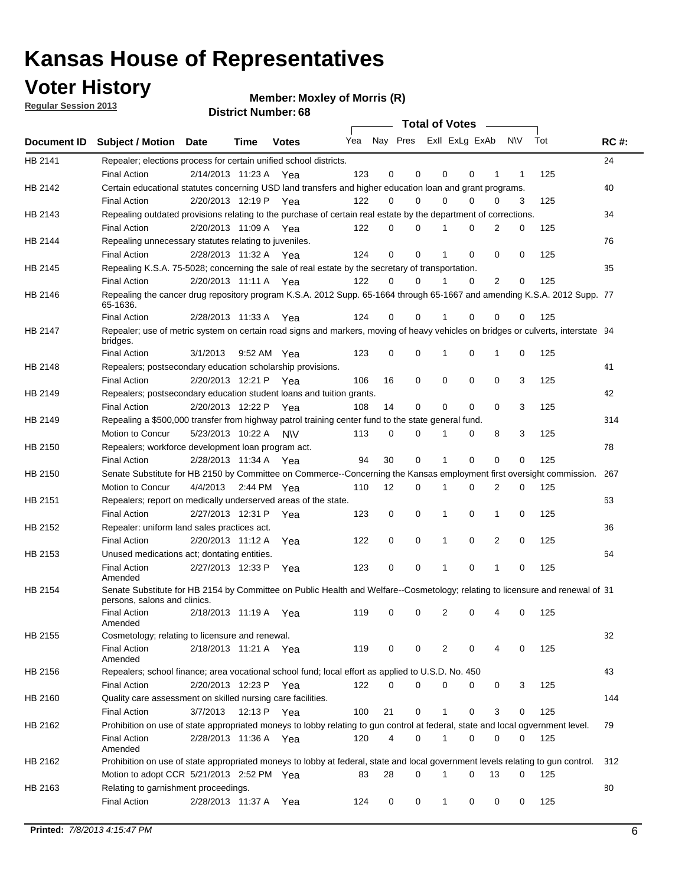### **Voter History**

**Member: Moxley of Morris (R)** 

**Regular Session 2013**

|             |                                                                                                                                              |                       |      |              |     |    | <b>Total of Votes</b>   |              |          | $\sim$         |     |     |             |
|-------------|----------------------------------------------------------------------------------------------------------------------------------------------|-----------------------|------|--------------|-----|----|-------------------------|--------------|----------|----------------|-----|-----|-------------|
| Document ID | <b>Subject / Motion Date</b>                                                                                                                 |                       | Time | <b>Votes</b> | Yea |    | Nay Pres Exll ExLg ExAb |              |          |                | N\V | Tot | <b>RC#:</b> |
| HB 2141     | Repealer; elections process for certain unified school districts.                                                                            |                       |      |              |     |    |                         |              |          |                |     |     | 24          |
|             | <b>Final Action</b>                                                                                                                          | 2/14/2013 11:23 A     |      | Yea          | 123 | 0  | 0                       | 0            | 0        | 1              | 1   | 125 |             |
| HB 2142     | Certain educational statutes concerning USD land transfers and higher education loan and grant programs.                                     |                       |      |              |     |    |                         |              |          |                |     |     | 40          |
|             | <b>Final Action</b>                                                                                                                          | 2/20/2013 12:19 P Yea |      |              | 122 | 0  | 0                       | 0            | 0        | 0              | 3   | 125 |             |
| HB 2143     | Repealing outdated provisions relating to the purchase of certain real estate by the department of corrections.                              |                       |      |              |     |    |                         |              |          |                |     |     | 34          |
|             | <b>Final Action</b>                                                                                                                          | 2/20/2013 11:09 A Yea |      |              | 122 | 0  | $\Omega$                | 1            | 0        | 2              | 0   | 125 |             |
| HB 2144     | Repealing unnecessary statutes relating to juveniles.                                                                                        |                       |      |              |     |    |                         |              |          |                |     |     | 76          |
|             | <b>Final Action</b>                                                                                                                          | 2/28/2013 11:32 A Yea |      |              | 124 | 0  | 0                       | 1            | 0        | 0              | 0   | 125 |             |
| HB 2145     | Repealing K.S.A. 75-5028; concerning the sale of real estate by the secretary of transportation.                                             |                       |      |              |     |    |                         |              |          |                |     |     | 35          |
|             | <b>Final Action</b>                                                                                                                          | 2/20/2013 11:11 A Yea |      |              | 122 | 0  | 0                       | 1            | 0        | $\overline{2}$ | 0   | 125 |             |
| HB 2146     | Repealing the cancer drug repository program K.S.A. 2012 Supp. 65-1664 through 65-1667 and amending K.S.A. 2012 Supp. 77<br>65-1636.         |                       |      |              |     |    |                         |              |          |                |     |     |             |
|             | <b>Final Action</b>                                                                                                                          | 2/28/2013 11:33 A     |      | Yea          | 124 | 0  | 0                       |              | 0        | 0              | 0   | 125 |             |
| HB 2147     | Repealer; use of metric system on certain road signs and markers, moving of heavy vehicles on bridges or culverts, interstate 94<br>bridges. |                       |      |              |     |    |                         |              |          |                |     |     |             |
|             | <b>Final Action</b>                                                                                                                          | 3/1/2013              |      | 9:52 AM Yea  | 123 | 0  | 0                       | 1            | 0        | 1              | 0   | 125 |             |
| HB 2148     | Repealers; postsecondary education scholarship provisions.                                                                                   |                       |      |              |     |    |                         |              |          |                |     |     | 41          |
|             | <b>Final Action</b>                                                                                                                          | 2/20/2013 12:21 P Yea |      |              | 106 | 16 | 0                       | 0            | 0        | 0              | 3   | 125 |             |
| HB 2149     | Repealers; postsecondary education student loans and tuition grants.                                                                         |                       |      |              |     |    |                         |              |          |                |     |     | 42          |
|             | <b>Final Action</b>                                                                                                                          | 2/20/2013 12:22 P     |      | Yea          | 108 | 14 | 0                       | 0            | $\Omega$ | 0              | 3   | 125 |             |
| HB 2149     | Repealing a \$500,000 transfer from highway patrol training center fund to the state general fund.                                           |                       |      |              |     |    |                         |              |          |                |     |     | 314         |
|             | Motion to Concur                                                                                                                             | 5/23/2013 10:22 A N\V |      |              | 113 | 0  | 0                       |              | 0        | 8              | 3   | 125 |             |
| HB 2150     | Repealers; workforce development loan program act.                                                                                           |                       |      |              |     |    |                         |              |          |                |     |     | 78          |
|             | <b>Final Action</b>                                                                                                                          | 2/28/2013 11:34 A Yea |      |              | 94  | 30 | 0                       | 1            | 0        | 0              | 0   | 125 |             |
| HB 2150     | Senate Substitute for HB 2150 by Committee on Commerce--Concerning the Kansas employment first oversight commission.                         |                       |      |              |     |    |                         |              |          |                |     |     | 267         |
|             | Motion to Concur                                                                                                                             | 4/4/2013              |      | 2:44 PM Yea  | 110 | 12 | 0                       | 1            | 0        | 2              | 0   | 125 |             |
| HB 2151     | Repealers; report on medically underserved areas of the state.                                                                               |                       |      |              |     |    |                         |              |          |                |     |     | 63          |
|             | <b>Final Action</b>                                                                                                                          | 2/27/2013 12:31 P     |      | Yea          | 123 | 0  | 0                       | 1            | 0        | $\mathbf{1}$   | 0   | 125 |             |
| HB 2152     | Repealer: uniform land sales practices act.                                                                                                  |                       |      |              |     |    |                         |              |          |                |     |     | 36          |
|             | <b>Final Action</b>                                                                                                                          | 2/20/2013 11:12 A     |      | Yea          | 122 | 0  | 0                       | 1            | 0        | 2              | 0   | 125 |             |
| HB 2153     | Unused medications act; dontating entities.                                                                                                  |                       |      |              |     |    |                         |              |          |                |     |     | 64          |
|             | <b>Final Action</b><br>Amended                                                                                                               | 2/27/2013 12:33 P     |      | Yea          | 123 | 0  | 0                       | 1            | 0        | 1              | 0   | 125 |             |
| HB 2154     | Senate Substitute for HB 2154 by Committee on Public Health and Welfare--Cosmetology; relating to licensure and renewal of 31                |                       |      |              |     |    |                         |              |          |                |     |     |             |
|             | persons, salons and clinics.<br><b>Final Action</b>                                                                                          | 2/18/2013 11:19 A     |      | Yea          | 119 | 0  | 0                       | 2            | 0        |                | 0   | 125 |             |
| HB 2155     | Amended<br>Cosmetology; relating to licensure and renewal.                                                                                   |                       |      |              |     |    |                         |              |          |                |     |     | 32          |
|             | <b>Final Action</b><br>Amended                                                                                                               | 2/18/2013 11:21 A Yea |      |              | 119 | 0  | 0                       | 2            | 0        | 4              | 0   | 125 |             |
| HB 2156     | Repealers; school finance; area vocational school fund; local effort as applied to U.S.D. No. 450                                            |                       |      |              |     |    |                         |              |          |                |     |     | 43          |
|             | <b>Final Action</b>                                                                                                                          | 2/20/2013 12:23 P Yea |      |              | 122 | 0  | 0                       | 0            | 0        | 0              | 3   | 125 |             |
| HB 2160     | Quality care assessment on skilled nursing care facilities.                                                                                  |                       |      |              |     |    |                         |              |          |                |     |     | 144         |
|             | <b>Final Action</b>                                                                                                                          | 3/7/2013              |      | 12:13 P Yea  | 100 | 21 | 0                       | $\mathbf{1}$ | 0        | 3              | 0   | 125 |             |
| HB 2162     | Prohibition on use of state appropriated moneys to lobby relating to gun control at federal, state and local ogvernment level.               |                       |      |              |     |    |                         |              |          |                |     |     | 79          |
|             | <b>Final Action</b><br>Amended                                                                                                               | 2/28/2013 11:36 A Yea |      |              | 120 | 4  | 0                       | 1            | 0        | 0              | 0   | 125 |             |
| HB 2162     | Prohibition on use of state appropriated moneys to lobby at federal, state and local government levels relating to gun control.              |                       |      |              |     |    |                         |              |          |                |     |     | 312         |
|             | Motion to adopt CCR 5/21/2013 2:52 PM Yea                                                                                                    |                       |      |              | 83  | 28 | $\Omega$                |              | 0        | 13             | 0   | 125 |             |
| HB 2163     | Relating to garnishment proceedings.                                                                                                         |                       |      |              |     |    |                         |              |          |                |     |     | 80          |
|             | <b>Final Action</b>                                                                                                                          | 2/28/2013 11:37 A Yea |      |              | 124 | 0  | 0                       | $\mathbf 1$  | 0        | 0              | 0   | 125 |             |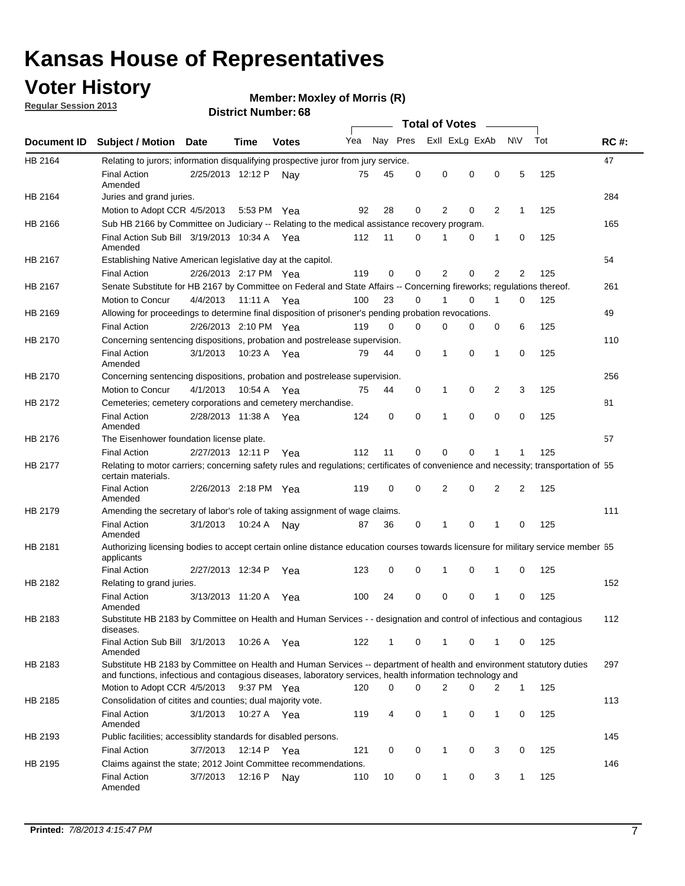### **Voter History**

**Member: Moxley of Morris (R)** 

**Regular Session 2013**

|             |                                                                                                                                                                                                                                    |                       |             |              |     |             | <b>Total of Votes</b>   |                |          | $\sim$         |           |     |             |
|-------------|------------------------------------------------------------------------------------------------------------------------------------------------------------------------------------------------------------------------------------|-----------------------|-------------|--------------|-----|-------------|-------------------------|----------------|----------|----------------|-----------|-----|-------------|
| Document ID | <b>Subject / Motion Date</b>                                                                                                                                                                                                       |                       | <b>Time</b> | <b>Votes</b> | Yea |             | Nay Pres Exll ExLg ExAb |                |          |                | <b>NV</b> | Tot | <b>RC#:</b> |
| HB 2164     | Relating to jurors; information disqualifying prospective juror from jury service.                                                                                                                                                 |                       |             |              |     |             |                         |                |          |                |           |     | 47          |
|             | <b>Final Action</b>                                                                                                                                                                                                                | 2/25/2013 12:12 P     |             | Nav          | 75  | 45          | 0                       | 0              | 0        | 0              | 5         | 125 |             |
|             | Amended<br>Juries and grand juries.                                                                                                                                                                                                |                       |             |              |     |             |                         |                |          |                |           |     | 284         |
| HB 2164     | Motion to Adopt CCR 4/5/2013                                                                                                                                                                                                       |                       | 5:53 PM Yea |              | 92  | 28          | 0                       | $\overline{2}$ | 0        | $\overline{2}$ | 1         | 125 |             |
| HB 2166     | Sub HB 2166 by Committee on Judiciary -- Relating to the medical assistance recovery program.                                                                                                                                      |                       |             |              |     |             |                         |                |          |                |           |     | 165         |
|             | Final Action Sub Bill 3/19/2013 10:34 A Yea                                                                                                                                                                                        |                       |             |              | 112 | 11          | 0                       |                | 0        | 1              | 0         | 125 |             |
|             | Amended                                                                                                                                                                                                                            |                       |             |              |     |             |                         |                |          |                |           |     |             |
| HB 2167     | Establishing Native American legislative day at the capitol.                                                                                                                                                                       |                       |             |              |     |             |                         |                |          |                |           |     | 54          |
|             | <b>Final Action</b>                                                                                                                                                                                                                | 2/26/2013 2:17 PM Yea |             |              | 119 | 0           | 0                       | $\overline{2}$ | 0        | $\overline{2}$ | 2         | 125 |             |
| HB 2167     | Senate Substitute for HB 2167 by Committee on Federal and State Affairs -- Concerning fireworks; regulations thereof.                                                                                                              |                       |             |              |     |             |                         |                |          |                |           |     | 261         |
|             | Motion to Concur                                                                                                                                                                                                                   | 4/4/2013              | 11:11 A Yea |              | 100 | 23          | 0                       | 1              | 0        | 1              | 0         | 125 |             |
| HB 2169     | Allowing for proceedings to determine final disposition of prisoner's pending probation revocations.                                                                                                                               |                       |             |              |     |             |                         |                |          |                |           |     | 49          |
|             | <b>Final Action</b>                                                                                                                                                                                                                | 2/26/2013 2:10 PM Yea |             |              | 119 | 0           | 0                       | 0              | 0        | 0              | 6         | 125 |             |
| HB 2170     | Concerning sentencing dispositions, probation and postrelease supervision.                                                                                                                                                         |                       |             |              |     |             |                         |                |          |                |           |     | 110         |
|             | <b>Final Action</b><br>Amended                                                                                                                                                                                                     | 3/1/2013              | 10:23 A Yea |              | 79  | 44          | 0                       | 1              | 0        | 1              | 0         | 125 |             |
| HB 2170     | Concerning sentencing dispositions, probation and postrelease supervision.                                                                                                                                                         |                       |             |              |     |             |                         |                |          |                |           |     | 256         |
|             | Motion to Concur                                                                                                                                                                                                                   | 4/1/2013              | 10:54 A Yea |              | 75  | 44          | 0                       | 1              | 0        | 2              | 3         | 125 |             |
| HB 2172     | Cemeteries; cemetery corporations and cemetery merchandise.                                                                                                                                                                        |                       |             |              |     |             |                         |                |          |                |           |     | 81          |
|             | <b>Final Action</b><br>Amended                                                                                                                                                                                                     | 2/28/2013 11:38 A Yea |             |              | 124 | $\mathbf 0$ | $\Omega$                |                | $\Omega$ | $\Omega$       | 0         | 125 |             |
| HB 2176     | The Eisenhower foundation license plate.                                                                                                                                                                                           |                       |             |              |     |             |                         |                |          |                |           |     | 57          |
|             | <b>Final Action</b>                                                                                                                                                                                                                | 2/27/2013 12:11 P     |             | Yea          | 112 | 11          | 0                       | 0              | 0        |                | 1         | 125 |             |
| HB 2177     | Relating to motor carriers; concerning safety rules and regulations; certificates of convenience and necessity; transportation of 55<br>certain materials.                                                                         |                       |             |              |     |             |                         |                |          |                |           |     |             |
|             | <b>Final Action</b><br>Amended                                                                                                                                                                                                     | 2/26/2013 2:18 PM Yea |             |              | 119 | 0           | 0                       | $\overline{2}$ | 0        | 2              | 2         | 125 |             |
| HB 2179     | Amending the secretary of labor's role of taking assignment of wage claims.                                                                                                                                                        |                       |             |              |     |             |                         |                |          |                |           |     | 111         |
|             | <b>Final Action</b><br>Amended                                                                                                                                                                                                     | 3/1/2013              | 10:24 A     | Nav          | 87  | 36          | 0                       | 1              | 0        | 1              | 0         | 125 |             |
| HB 2181     | Authorizing licensing bodies to accept certain online distance education courses towards licensure for military service member 55<br>applicants                                                                                    |                       |             |              |     |             |                         |                |          |                |           |     |             |
|             | <b>Final Action</b>                                                                                                                                                                                                                | 2/27/2013 12:34 P     |             | Yea          | 123 | 0           | 0                       | 1              | 0        | 1              | 0         | 125 |             |
| HB 2182     | Relating to grand juries.                                                                                                                                                                                                          |                       |             |              |     |             |                         |                |          |                |           |     | 152         |
|             | <b>Final Action</b><br>Amended                                                                                                                                                                                                     | 3/13/2013 11:20 A     |             | Yea          | 100 | 24          | 0                       | 0              | 0        | 1              | 0         | 125 |             |
| HB 2183     | Substitute HB 2183 by Committee on Health and Human Services - - designation and control of infectious and contagious<br>diseases.                                                                                                 |                       |             |              |     |             |                         |                |          |                |           |     | 112         |
|             | Final Action Sub Bill 3/1/2013<br>Amended                                                                                                                                                                                          |                       | 10:26 A Yea |              | 122 | 1           | 0                       | $\mathbf{1}$   | 0        | 1              | 0         | 125 |             |
| HB 2183     | Substitute HB 2183 by Committee on Health and Human Services -- department of health and environment statutory duties<br>and functions, infectious and contagious diseases, laboratory services, health information technology and |                       |             |              |     |             |                         |                |          |                |           |     | 297         |
|             | Motion to Adopt CCR 4/5/2013                                                                                                                                                                                                       |                       | 9:37 PM Yea |              | 120 | 0           | 0                       | 2              | 0        | 2              | 1         | 125 |             |
| HB 2185     | Consolidation of citites and counties; dual majority vote.                                                                                                                                                                         |                       |             |              |     |             |                         |                |          |                |           |     | 113         |
|             | <b>Final Action</b><br>Amended                                                                                                                                                                                                     | 3/1/2013              | 10:27 A Yea |              | 119 | 4           | 0                       | $\mathbf{1}$   | 0        | $\mathbf{1}$   | 0         | 125 |             |
| HB 2193     | Public facilities; accessiblity standards for disabled persons.                                                                                                                                                                    |                       |             |              |     |             |                         |                |          |                |           |     | 145         |
|             | <b>Final Action</b>                                                                                                                                                                                                                | 3/7/2013              | 12:14 P     | Yea          | 121 | 0           | 0                       | 1              | 0        | 3              | 0         | 125 |             |
| HB 2195     | Claims against the state; 2012 Joint Committee recommendations.                                                                                                                                                                    |                       |             |              |     |             |                         |                |          |                |           |     | 146         |
|             | <b>Final Action</b><br>Amended                                                                                                                                                                                                     | 3/7/2013              | 12:16 P     | Nav          | 110 | 10          | 0                       | 1              | 0        | 3              | 1         | 125 |             |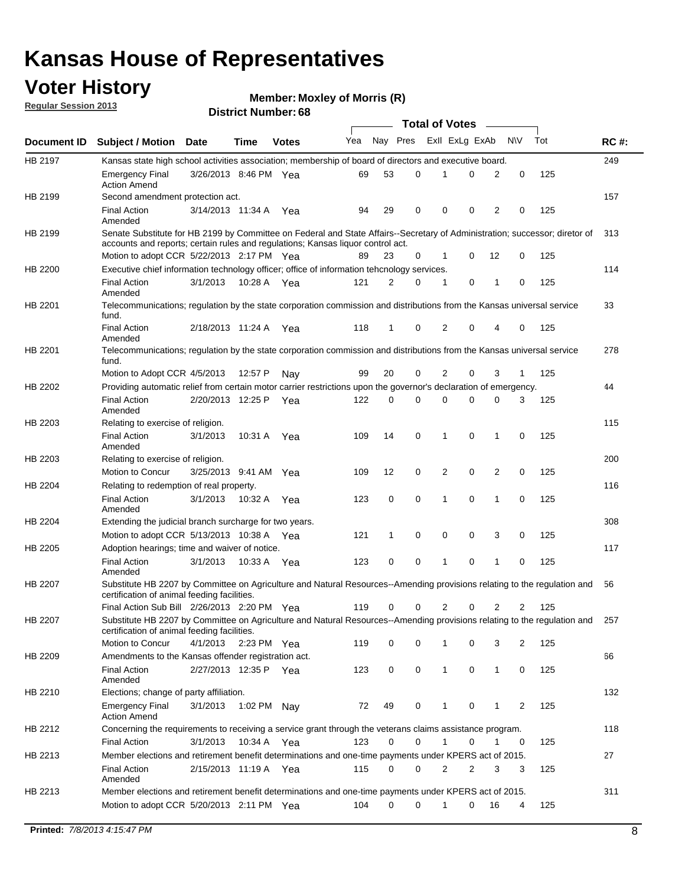### **Voter History**

**Member: Moxley of Morris (R)** 

**Regular Session 2013**

|             |                                                                                                                                                                                                                |                       |             |              |     |              | <b>Total of Votes</b> |                |   | $\sim$         |                |     |     |
|-------------|----------------------------------------------------------------------------------------------------------------------------------------------------------------------------------------------------------------|-----------------------|-------------|--------------|-----|--------------|-----------------------|----------------|---|----------------|----------------|-----|-----|
| Document ID | <b>Subject / Motion Date</b>                                                                                                                                                                                   |                       | Time        | <b>Votes</b> | Yea | Nay Pres     |                       | Exll ExLg ExAb |   |                | <b>NV</b>      | Tot | RC# |
| HB 2197     | Kansas state high school activities association; membership of board of directors and executive board.                                                                                                         |                       |             |              |     |              |                       |                |   |                |                |     | 249 |
|             | <b>Emergency Final</b><br><b>Action Amend</b>                                                                                                                                                                  | 3/26/2013 8:46 PM Yea |             |              | 69  | 53           | 0                     | 1              | 0 | 2              | 0              | 125 |     |
| HB 2199     | Second amendment protection act.                                                                                                                                                                               |                       |             |              |     |              |                       |                |   |                |                |     | 157 |
|             | <b>Final Action</b><br>Amended                                                                                                                                                                                 | 3/14/2013 11:34 A     |             | Yea          | 94  | 29           | 0                     | 0              | 0 | 2              | 0              | 125 |     |
| HB 2199     | Senate Substitute for HB 2199 by Committee on Federal and State Affairs--Secretary of Administration; successor; diretor of<br>accounts and reports; certain rules and regulations; Kansas liquor control act. |                       |             |              |     |              |                       |                |   |                |                |     | 313 |
|             | Motion to adopt CCR 5/22/2013 2:17 PM Yea                                                                                                                                                                      |                       |             |              | 89  | 23           | 0                     | 1              | 0 | 12             | 0              | 125 |     |
| HB 2200     | Executive chief information technology officer; office of information tehcnology services.                                                                                                                     |                       |             |              |     |              |                       |                |   |                |                |     | 114 |
|             | <b>Final Action</b><br>Amended                                                                                                                                                                                 | 3/1/2013              | 10:28 A Yea |              | 121 | 2            | $\Omega$              | 1              | 0 | 1              | 0              | 125 |     |
| HB 2201     | Telecommunications; regulation by the state corporation commission and distributions from the Kansas universal service<br>fund.                                                                                |                       |             |              |     |              |                       |                |   |                |                |     | 33  |
|             | <b>Final Action</b><br>Amended                                                                                                                                                                                 | 2/18/2013 11:24 A     |             | Yea          | 118 | 1            | 0                     | 2              | 0 | 4              | 0              | 125 |     |
| HB 2201     | Telecommunications; regulation by the state corporation commission and distributions from the Kansas universal service<br>fund.                                                                                |                       |             |              |     |              |                       |                |   |                |                |     | 278 |
|             | Motion to Adopt CCR 4/5/2013                                                                                                                                                                                   |                       | 12:57 P     | Nay          | 99  | 20           | 0                     | 2              | 0 | 3              | 1              | 125 |     |
| HB 2202     | Providing automatic relief from certain motor carrier restrictions upon the governor's declaration of emergency.                                                                                               |                       |             |              |     |              |                       |                |   |                |                |     | 44  |
|             | <b>Final Action</b><br>Amended                                                                                                                                                                                 | 2/20/2013 12:25 P     |             | Yea          | 122 | 0            | 0                     | 0              | 0 | 0              | 3              | 125 |     |
| HB 2203     | Relating to exercise of religion.                                                                                                                                                                              |                       |             |              |     |              |                       |                |   |                |                |     | 115 |
|             | <b>Final Action</b><br>Amended                                                                                                                                                                                 | 3/1/2013              | 10:31 A     | Yea          | 109 | 14           | 0                     | 1              | 0 | 1              | 0              | 125 |     |
| HB 2203     | Relating to exercise of religion.                                                                                                                                                                              |                       |             |              |     |              |                       |                |   |                |                |     | 200 |
|             | Motion to Concur                                                                                                                                                                                               | 3/25/2013 9:41 AM     |             | Yea          | 109 | 12           | 0                     | 2              | 0 | $\overline{2}$ | 0              | 125 |     |
| HB 2204     | Relating to redemption of real property.                                                                                                                                                                       |                       |             |              |     |              |                       |                |   |                |                |     | 116 |
|             | <b>Final Action</b><br>Amended                                                                                                                                                                                 | 3/1/2013              | 10:32 A Yea |              | 123 | 0            | 0                     | 1              | 0 | $\mathbf{1}$   | 0              | 125 |     |
| HB 2204     | Extending the judicial branch surcharge for two years.                                                                                                                                                         |                       |             |              |     |              |                       |                |   |                |                |     | 308 |
|             | Motion to adopt CCR 5/13/2013 10:38 A                                                                                                                                                                          |                       |             | Yea          | 121 | $\mathbf{1}$ | 0                     | 0              | 0 | 3              | 0              | 125 |     |
| HB 2205     | Adoption hearings; time and waiver of notice.                                                                                                                                                                  |                       |             |              |     |              |                       |                |   |                |                |     | 117 |
|             | <b>Final Action</b><br>Amended                                                                                                                                                                                 | 3/1/2013              | 10:33 A     | Yea          | 123 | 0            | 0                     | 1              | 0 | 1              | 0              | 125 |     |
| HB 2207     | Substitute HB 2207 by Committee on Agriculture and Natural Resources--Amending provisions relating to the regulation and<br>certification of animal feeding facilities.                                        |                       |             |              |     |              |                       |                |   |                |                |     | 56  |
|             | Final Action Sub Bill 2/26/2013 2:20 PM Yea                                                                                                                                                                    |                       |             |              | 119 | 0            | 0                     | 2              | 0 | $\overline{2}$ | $\overline{2}$ | 125 |     |
| HB 2207     | Substitute HB 2207 by Committee on Agriculture and Natural Resources--Amending provisions relating to the regulation and<br>certification of animal feeding facilities.                                        |                       |             |              |     |              |                       |                |   |                |                |     | 257 |
|             | Motion to Concur                                                                                                                                                                                               | 4/1/2013              | 2:23 PM Yea |              | 119 | 0            | 0                     |                | 0 | 3              | 2              | 125 |     |
| HB 2209     | Amendments to the Kansas offender registration act.                                                                                                                                                            |                       |             |              |     |              |                       |                |   |                |                |     | 66  |
|             | Final Action<br>Amended                                                                                                                                                                                        | 2/27/2013 12:35 P Yea |             |              | 123 | 0            | 0                     | 1              | 0 | 1              | 0              | 125 |     |
| HB 2210     | Elections; change of party affiliation.                                                                                                                                                                        |                       |             |              |     |              |                       |                |   |                |                |     | 132 |
|             | Emergency Final<br><b>Action Amend</b>                                                                                                                                                                         | 3/1/2013              | 1:02 PM Nay |              | 72  | 49           | 0                     | 1              | 0 | 1              | $\overline{2}$ | 125 |     |
| HB 2212     | Concerning the requirements to receiving a service grant through the veterans claims assistance program.                                                                                                       |                       |             |              |     |              |                       |                |   |                |                |     | 118 |
|             | <b>Final Action</b>                                                                                                                                                                                            | 3/1/2013              | 10:34 A     | Yea          | 123 | 0            | 0                     | 1              | 0 | 1              | 0              | 125 |     |
| HB 2213     | Member elections and retirement benefit determinations and one-time payments under KPERS act of 2015.                                                                                                          |                       |             |              |     |              |                       |                |   |                |                |     | 27  |
|             | <b>Final Action</b><br>Amended                                                                                                                                                                                 | 2/15/2013 11:19 A Yea |             |              | 115 | 0            | 0                     | 2              | 2 | 3              | 3              | 125 |     |
| HB 2213     | Member elections and retirement benefit determinations and one-time payments under KPERS act of 2015.                                                                                                          |                       |             |              |     |              |                       |                |   |                |                |     | 311 |
|             | Motion to adopt CCR 5/20/2013 2:11 PM Yea                                                                                                                                                                      |                       |             |              | 104 | 0            | 0                     | 1              | 0 | 16             | 4              | 125 |     |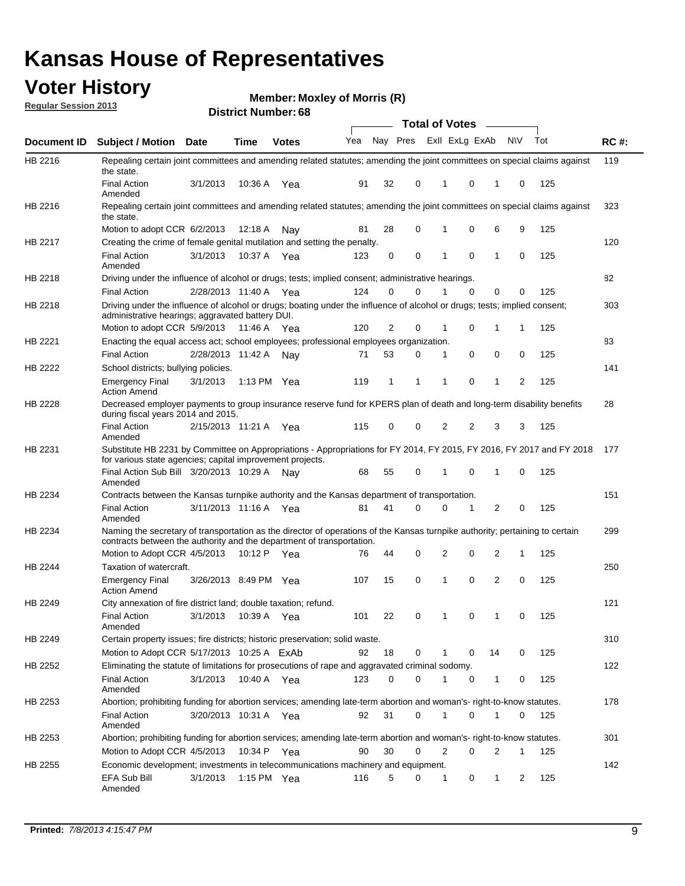### **Voter History**

**Member: Moxley of Morris (R)** 

**Regular Session 2013**

|                |                                                                                                                                                                                                       |                       |             | <b>DISTILL MUILIDEL. 00</b> |     |                |   |          | Total of Votes – |    |           |     |             |
|----------------|-------------------------------------------------------------------------------------------------------------------------------------------------------------------------------------------------------|-----------------------|-------------|-----------------------------|-----|----------------|---|----------|------------------|----|-----------|-----|-------------|
| Document ID    | <b>Subject / Motion Date</b>                                                                                                                                                                          |                       | <b>Time</b> | <b>Votes</b>                | Yea | Nay Pres       |   |          | Exll ExLg ExAb   |    | <b>NV</b> | Tot | <b>RC#:</b> |
| HB 2216        | Repealing certain joint committees and amending related statutes; amending the joint committees on special claims against<br>the state.                                                               |                       |             |                             |     |                |   |          |                  |    |           |     | 119         |
|                | <b>Final Action</b><br>Amended                                                                                                                                                                        | 3/1/2013              | 10:36 A     | Yea                         | 91  | 32             | 0 | 1        | 0                | 1  | 0         | 125 |             |
| HB 2216        | Repealing certain joint committees and amending related statutes; amending the joint committees on special claims against<br>the state.                                                               |                       |             |                             |     |                |   |          |                  |    |           |     | 323         |
|                | Motion to adopt CCR 6/2/2013                                                                                                                                                                          |                       | 12:18 A     | Nav                         | 81  | 28             | 0 | 1        | 0                | 6  | 9         | 125 |             |
| HB 2217        | Creating the crime of female genital mutilation and setting the penalty.                                                                                                                              |                       |             |                             |     |                |   |          |                  |    |           |     | 120         |
|                | <b>Final Action</b><br>Amended                                                                                                                                                                        | 3/1/2013              |             | 10:37 A Yea                 | 123 | 0              | 0 | 1        | 0                | 1  | 0         | 125 |             |
| HB 2218        | Driving under the influence of alcohol or drugs; tests; implied consent; administrative hearings.                                                                                                     |                       |             |                             |     |                |   |          |                  |    |           |     | 82          |
|                | <b>Final Action</b>                                                                                                                                                                                   | 2/28/2013 11:40 A     |             | Yea                         | 124 | 0              | 0 |          | $\Omega$         | 0  | 0         | 125 |             |
| HB 2218        | Driving under the influence of alcohol or drugs; boating under the influence of alcohol or drugs; tests; implied consent;<br>administrative hearings; aggravated battery DUI.                         |                       |             |                             |     |                |   |          |                  |    |           |     | 303         |
|                | Motion to adopt CCR 5/9/2013                                                                                                                                                                          |                       | 11:46 A     | Yea                         | 120 | $\overline{2}$ | 0 | 1        | 0                | 1  | 1         | 125 |             |
| HB 2221        | Enacting the equal access act; school employees; professional employees organization.                                                                                                                 |                       |             |                             |     |                |   |          |                  |    |           |     | 83          |
|                | <b>Final Action</b>                                                                                                                                                                                   | 2/28/2013 11:42 A     |             | Nav                         | 71  | 53             | 0 | 1        | 0                | 0  | 0         | 125 |             |
| HB 2222        | School districts; bullying policies.<br><b>Emergency Final</b>                                                                                                                                        | 3/1/2013              |             | 1:13 PM $Yea$               | 119 | 1              | 1 | 1        | 0                | 1  | 2         | 125 | 141         |
|                | <b>Action Amend</b>                                                                                                                                                                                   |                       |             |                             |     |                |   |          |                  |    |           |     |             |
| HB 2228        | Decreased employer payments to group insurance reserve fund for KPERS plan of death and long-term disability benefits<br>during fiscal years 2014 and 2015.                                           |                       |             |                             |     |                |   |          |                  |    |           |     | 28          |
|                | <b>Final Action</b><br>Amended                                                                                                                                                                        | 2/15/2013 11:21 A     |             | Yea                         | 115 | 0              | 0 | 2        | 2                | 3  | 3         | 125 |             |
| HB 2231        | Substitute HB 2231 by Committee on Appropriations - Appropriations for FY 2014, FY 2015, FY 2016, FY 2017 and FY 2018<br>for various state agencies; capital improvement projects.                    |                       |             |                             |     |                |   |          |                  |    |           |     | 177         |
|                | Final Action Sub Bill 3/20/2013 10:29 A<br>Amended                                                                                                                                                    |                       |             | Nav                         | 68  | 55             | 0 |          | 0                | 1  | 0         | 125 |             |
| HB 2234        | Contracts between the Kansas turnpike authority and the Kansas department of transportation.                                                                                                          |                       |             |                             |     |                |   |          |                  |    |           |     | 151         |
|                | <b>Final Action</b><br>Amended                                                                                                                                                                        | 3/11/2013 11:16 A Yea |             |                             | 81  | 41             | 0 | $\Omega$ | 1                | 2  | 0         | 125 |             |
| HB 2234        | Naming the secretary of transportation as the director of operations of the Kansas turnpike authority; pertaining to certain<br>contracts between the authority and the department of transportation. |                       |             |                             |     |                |   |          |                  |    |           |     | 299         |
|                | Motion to Adopt CCR 4/5/2013                                                                                                                                                                          |                       | 10:12 P     | Yea                         | 76  | 44             | 0 | 2        | 0                | 2  | 1         | 125 |             |
| <b>HB 2244</b> | Taxation of watercraft.<br><b>Emergency Final</b>                                                                                                                                                     | 3/26/2013 8:49 PM Yea |             |                             | 107 | 15             | 0 | 1        | 0                | 2  | 0         | 125 | 250         |
|                | <b>Action Amend</b>                                                                                                                                                                                   |                       |             |                             |     |                |   |          |                  |    |           |     |             |
| HB 2249        | City annexation of fire district land; double taxation; refund.                                                                                                                                       |                       |             |                             |     |                |   |          |                  |    |           |     | 121         |
|                | Final Action 3/1/2013 10:39 A Yea<br>Amended                                                                                                                                                          |                       |             |                             | 101 | 22             | 0 |          | $\mathbf 0$      |    |           | 125 |             |
| HB 2249        | Certain property issues; fire districts; historic preservation; solid waste.                                                                                                                          |                       |             |                             |     |                |   |          |                  |    |           |     | 310         |
|                | Motion to Adopt CCR 5/17/2013 10:25 A ExAb                                                                                                                                                            |                       |             |                             | 92  | 18             | 0 | 1        | 0                | 14 | 0         | 125 |             |
| HB 2252        | Eliminating the statute of limitations for prosecutions of rape and aggravated criminal sodomy.                                                                                                       |                       |             |                             |     |                |   |          |                  |    |           |     | 122         |
|                | <b>Final Action</b>                                                                                                                                                                                   | 3/1/2013              |             | 10:40 A Yea                 | 123 | 0              | 0 |          | 0                | 1  | 0         | 125 |             |
|                | Amended                                                                                                                                                                                               |                       |             |                             |     |                |   |          |                  |    |           |     |             |
| HB 2253        | Abortion; prohibiting funding for abortion services; amending late-term abortion and woman's- right-to-know statutes.                                                                                 |                       |             |                             |     |                |   |          |                  |    |           |     | 178         |
|                | <b>Final Action</b><br>Amended                                                                                                                                                                        | 3/20/2013 10:31 A Yea |             |                             | 92  | 31             | 0 | 1        | 0                | 1  | 0         | 125 |             |
| HB 2253        | Abortion; prohibiting funding for abortion services; amending late-term abortion and woman's- right-to-know statutes.                                                                                 |                       |             |                             |     |                |   |          |                  |    |           |     | 301         |
|                | Motion to Adopt CCR 4/5/2013                                                                                                                                                                          |                       |             | 10:34 P Yea                 | 90  | 30             | 0 | 2        | 0                | 2  | 1         | 125 |             |
| HB 2255        | Economic development; investments in telecommunications machinery and equipment.                                                                                                                      |                       |             |                             |     |                |   |          |                  |    |           |     | 142         |
|                | EFA Sub Bill<br>Amended                                                                                                                                                                               | 3/1/2013              |             | 1:15 PM Yea                 | 116 | 5              | 0 | 1        | 0                | 1  | 2         | 125 |             |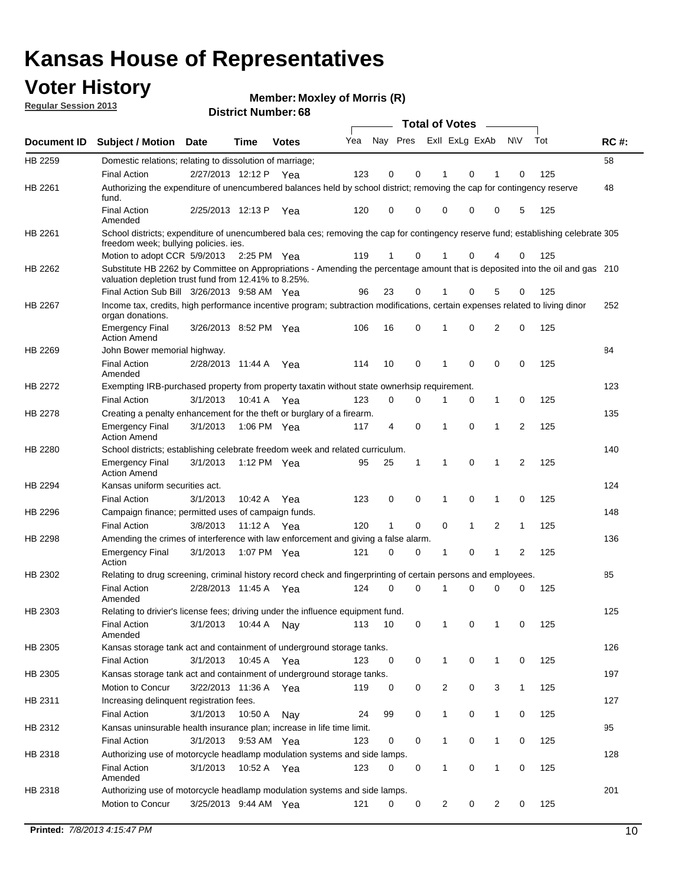### **Voter History**

**Member: Moxley of Morris (R)** 

**Regular Session 2013**

|                    |                                                                                                                                   |                       |             | DISTILITY MAILING . 00 |     |                         |             | Total of Votes – |              |                |              |     |             |
|--------------------|-----------------------------------------------------------------------------------------------------------------------------------|-----------------------|-------------|------------------------|-----|-------------------------|-------------|------------------|--------------|----------------|--------------|-----|-------------|
| <b>Document ID</b> | <b>Subject / Motion</b>                                                                                                           | <b>Date</b>           | Time        | <b>Votes</b>           | Yea | Nay Pres ExII ExLg ExAb |             |                  |              |                | <b>NV</b>    | Tot | <b>RC#:</b> |
| HB 2259            | Domestic relations; relating to dissolution of marriage;                                                                          |                       |             |                        |     |                         |             |                  |              |                |              |     | 58          |
|                    | <b>Final Action</b>                                                                                                               | 2/27/2013 12:12 P Yea |             |                        | 123 | 0                       | 0           | 1                | 0            | 1              | 0            | 125 |             |
| HB 2261            | Authorizing the expenditure of unencumbered balances held by school district; removing the cap for contingency reserve<br>fund.   |                       |             |                        |     |                         |             |                  |              |                |              |     | 48          |
|                    | <b>Final Action</b><br>Amended                                                                                                    | 2/25/2013 12:13 P     |             | Yea                    | 120 | 0                       | 0           | 0                | 0            | 0              | 5            | 125 |             |
| HB 2261            | School districts; expenditure of unencumbered bala ces; removing the cap for contingency reserve fund; establishing celebrate 305 |                       |             |                        |     |                         |             |                  |              |                |              |     |             |
|                    | freedom week; bullying policies. ies.<br>Motion to adopt CCR 5/9/2013                                                             |                       |             |                        |     | $\mathbf{1}$            | 0           | 1                | 0            | 4              | 0            |     |             |
| HB 2262            | Substitute HB 2262 by Committee on Appropriations - Amending the percentage amount that is deposited into the oil and gas 210     |                       | 2:25 PM Yea |                        | 119 |                         |             |                  |              |                |              | 125 |             |
|                    | valuation depletion trust fund from 12.41% to 8.25%.<br>Final Action Sub Bill 3/26/2013 9:58 AM Yea                               |                       |             |                        | 96  | 23                      | 0           |                  | 0            | 5              | 0            | 125 |             |
| HB 2267            | Income tax, credits, high performance incentive program; subtraction modifications, certain expenses related to living dinor      |                       |             |                        |     |                         |             |                  |              |                |              |     | 252         |
|                    | organ donations.                                                                                                                  |                       |             |                        |     |                         |             |                  |              |                |              |     |             |
|                    | <b>Emergency Final</b><br><b>Action Amend</b>                                                                                     | 3/26/2013 8:52 PM Yea |             |                        | 106 | 16                      | 0           | $\mathbf 1$      | 0            | 2              | 0            | 125 |             |
| HB 2269            | John Bower memorial highway.                                                                                                      |                       |             |                        |     |                         |             |                  |              |                |              |     | 84          |
|                    | <b>Final Action</b><br>Amended                                                                                                    | 2/28/2013 11:44 A Yea |             |                        | 114 | 10                      | 0           | 1                | 0            | 0              | 0            | 125 |             |
| HB 2272            | Exempting IRB-purchased property from property taxatin without state ownerhsip requirement.                                       |                       |             |                        |     |                         |             |                  |              |                |              |     | 123         |
|                    | <b>Final Action</b>                                                                                                               | 3/1/2013              | 10:41 A Yea |                        | 123 | 0                       | 0           | 1                | 0            | $\mathbf{1}$   | 0            | 125 |             |
| HB 2278            | Creating a penalty enhancement for the theft or burglary of a firearm.                                                            |                       |             |                        |     |                         |             |                  |              |                |              |     | 135         |
|                    | <b>Emergency Final</b><br><b>Action Amend</b>                                                                                     | 3/1/2013              | 1:06 PM Yea |                        | 117 | 4                       | $\mathbf 0$ | 1                | $\Omega$     | $\mathbf 1$    | 2            | 125 |             |
| HB 2280            | School districts; establishing celebrate freedom week and related curriculum.                                                     |                       |             |                        |     |                         |             |                  |              |                |              |     | 140         |
|                    | <b>Emergency Final</b><br><b>Action Amend</b>                                                                                     | 3/1/2013              | 1:12 PM Yea |                        | 95  | 25                      | 1           | 1                | $\mathbf 0$  | $\mathbf{1}$   | 2            | 125 |             |
| HB 2294            | Kansas uniform securities act.                                                                                                    |                       |             |                        |     |                         |             |                  |              |                |              |     | 124         |
|                    | <b>Final Action</b>                                                                                                               | 3/1/2013              | 10:42 A     | Yea                    | 123 | 0                       | 0           | 1                | 0            | 1              | 0            | 125 |             |
| HB 2296            | Campaign finance; permitted uses of campaign funds.                                                                               |                       |             |                        |     |                         |             |                  |              |                |              |     | 148         |
|                    | <b>Final Action</b>                                                                                                               | 3/8/2013              | 11:12 A Yea |                        | 120 | $\mathbf{1}$            | 0           | 0                | $\mathbf{1}$ | $\overline{2}$ | $\mathbf{1}$ | 125 |             |
| HB 2298            | Amending the crimes of interference with law enforcement and giving a false alarm.                                                |                       |             |                        |     |                         |             |                  |              |                |              |     | 136         |
|                    | <b>Emergency Final</b><br>Action                                                                                                  | 3/1/2013              | 1:07 PM Yea |                        | 121 | 0                       | 0           | 1                | 0            | $\mathbf{1}$   | 2            | 125 |             |
| HB 2302            | Relating to drug screening, criminal history record check and fingerprinting of certain persons and employees.                    |                       |             |                        |     |                         |             |                  |              |                |              |     | 85          |
|                    | <b>Final Action</b><br>Amended                                                                                                    | 2/28/2013 11:45 A Yea |             |                        | 124 | 0                       | 0           | $\mathbf 1$      | 0            | 0              | 0            | 125 |             |
| HB 2303            | Relating to drivier's license fees; driving under the influence equipment fund.                                                   |                       |             |                        |     |                         |             |                  |              |                |              |     | 125         |
|                    | <b>Final Action</b><br>Amended                                                                                                    | 3/1/2013              | 10:44 A     | Nay                    | 113 | 10                      | 0           |                  | 0            | 1              | 0            | 125 |             |
| HB 2305            | Kansas storage tank act and containment of underground storage tanks.                                                             |                       |             |                        |     |                         |             |                  |              |                |              |     | 126         |
|                    | <b>Final Action</b>                                                                                                               | 3/1/2013              | 10:45 A     | Yea                    | 123 | 0                       | 0           | $\mathbf 1$      | 0            | $\mathbf{1}$   | 0            | 125 |             |
| HB 2305            | Kansas storage tank act and containment of underground storage tanks.                                                             |                       |             |                        |     |                         |             |                  |              |                |              |     | 197         |
|                    | Motion to Concur                                                                                                                  | 3/22/2013 11:36 A     |             | Yea                    | 119 | 0                       | 0           | 2                | 0            | 3              | $\mathbf{1}$ | 125 |             |
| HB 2311            | Increasing delinquent registration fees.                                                                                          |                       |             |                        |     |                         |             |                  |              |                |              |     | 127         |
|                    | <b>Final Action</b>                                                                                                               | 3/1/2013              | 10:50 A     | Nay                    | 24  | 99                      | 0           | 1                | 0            | 1              | 0            | 125 |             |
| HB 2312            | Kansas uninsurable health insurance plan; increase in life time limit.                                                            |                       |             |                        |     |                         |             |                  |              |                |              |     | 95          |
|                    | <b>Final Action</b>                                                                                                               | 3/1/2013              | 9:53 AM Yea |                        | 123 | 0                       | 0           | 1                | 0            | 1              | 0            | 125 |             |
| HB 2318            | Authorizing use of motorcycle headlamp modulation systems and side lamps.                                                         |                       |             |                        |     |                         |             |                  |              |                |              |     | 128         |
|                    | <b>Final Action</b><br>Amended                                                                                                    | 3/1/2013              | 10:52 A     | Yea                    | 123 | 0                       | 0           | 1                | 0            | 1              | 0            | 125 |             |
| HB 2318            | Authorizing use of motorcycle headlamp modulation systems and side lamps.                                                         |                       |             |                        |     |                         |             |                  |              |                |              |     | 201         |
|                    | Motion to Concur                                                                                                                  | 3/25/2013 9:44 AM Yea |             |                        | 121 | 0                       | 0           | 2                | 0            | $\overline{2}$ | 0            | 125 |             |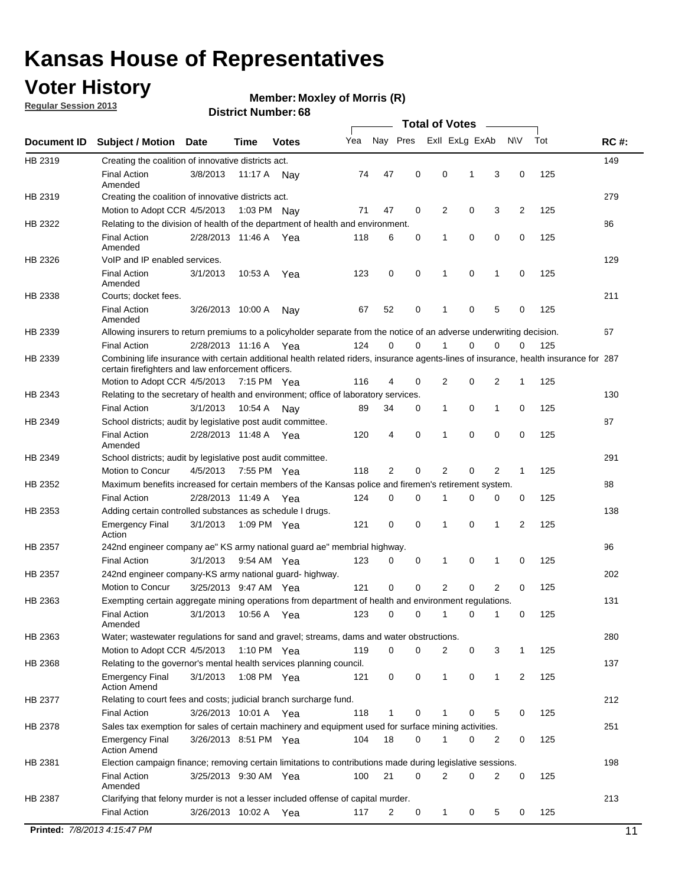### **Voter History**

**Member: Moxley of Morris (R)** 

**Regular Session 2013**

|             |                                                                                                                                                                                             |                       |             |              |     |             |             | <b>Total of Votes</b> |   |                |           |     |             |
|-------------|---------------------------------------------------------------------------------------------------------------------------------------------------------------------------------------------|-----------------------|-------------|--------------|-----|-------------|-------------|-----------------------|---|----------------|-----------|-----|-------------|
| Document ID | <b>Subject / Motion</b>                                                                                                                                                                     | <b>Date</b>           | Time        | <b>Votes</b> | Yea | Nay Pres    |             | Exll ExLg ExAb        |   |                | <b>NV</b> | Tot | <b>RC#:</b> |
| HB 2319     | Creating the coalition of innovative districts act.                                                                                                                                         |                       |             |              |     |             |             |                       |   |                |           |     | 149         |
|             | <b>Final Action</b>                                                                                                                                                                         | 3/8/2013              | 11:17 A     | Nav          | 74  | 47          | 0           | 0                     | 1 | 3              | 0         | 125 |             |
|             | Amended                                                                                                                                                                                     |                       |             |              |     |             |             |                       |   |                |           |     |             |
| HB 2319     | Creating the coalition of innovative districts act.                                                                                                                                         |                       |             |              |     |             |             |                       |   |                |           |     | 279         |
|             | Motion to Adopt CCR 4/5/2013                                                                                                                                                                |                       |             | 1:03 PM Nay  | 71  | 47          | 0           | 2                     | 0 | 3              | 2         | 125 |             |
| HB 2322     | Relating to the division of health of the department of health and environment.                                                                                                             |                       |             |              |     |             |             |                       |   |                |           |     | 86          |
|             | <b>Final Action</b><br>Amended                                                                                                                                                              | 2/28/2013 11:46 A Yea |             |              | 118 | 6           | 0           | 1                     | 0 | 0              | 0         | 125 |             |
| HB 2326     | VoIP and IP enabled services.                                                                                                                                                               |                       |             |              |     |             |             |                       |   |                |           |     | 129         |
|             | <b>Final Action</b>                                                                                                                                                                         | 3/1/2013              | 10.53 A     | Yea          | 123 | $\mathbf 0$ | 0           | $\mathbf{1}$          | 0 | 1              | 0         | 125 |             |
|             | Amended                                                                                                                                                                                     |                       |             |              |     |             |             |                       |   |                |           |     |             |
| HB 2338     | Courts; docket fees.                                                                                                                                                                        |                       |             |              |     |             |             |                       |   |                |           |     | 211         |
|             | <b>Final Action</b>                                                                                                                                                                         | 3/26/2013 10:00 A     |             | Nav          | 67  | 52          | 0           | $\mathbf 1$           | 0 | 5              | 0         | 125 |             |
|             | Amended                                                                                                                                                                                     |                       |             |              |     |             |             |                       |   |                |           |     |             |
| HB 2339     | Allowing insurers to return premiums to a policyholder separate from the notice of an adverse underwriting decision.                                                                        |                       |             |              | 124 | 0           | 0           |                       | 0 | 0              | 0         | 125 | 67          |
|             | <b>Final Action</b>                                                                                                                                                                         | 2/28/2013 11:16 A Yea |             |              |     |             |             |                       |   |                |           |     |             |
| HB 2339     | Combining life insurance with certain additional health related riders, insurance agents-lines of insurance, health insurance for 287<br>certain firefighters and law enforcement officers. |                       |             |              |     |             |             |                       |   |                |           |     |             |
|             | Motion to Adopt CCR 4/5/2013 7:15 PM Yea                                                                                                                                                    |                       |             |              | 116 | 4           | 0           | 2                     | 0 | 2              | -1        | 125 |             |
| HB 2343     | Relating to the secretary of health and environment; office of laboratory services.                                                                                                         |                       |             |              |     |             |             |                       |   |                |           |     | 130         |
|             | <b>Final Action</b>                                                                                                                                                                         | 3/1/2013              | 10:54 A Nay |              | 89  | 34          | 0           | 1                     | 0 | $\mathbf{1}$   | 0         | 125 |             |
| HB 2349     | School districts; audit by legislative post audit committee.                                                                                                                                |                       |             |              |     |             |             |                       |   |                |           |     | 87          |
|             | <b>Final Action</b>                                                                                                                                                                         | 2/28/2013 11:48 A Yea |             |              | 120 | 4           | $\mathbf 0$ | $\mathbf{1}$          | 0 | $\mathbf 0$    | 0         | 125 |             |
|             | Amended                                                                                                                                                                                     |                       |             |              |     |             |             |                       |   |                |           |     |             |
| HB 2349     | School districts; audit by legislative post audit committee.                                                                                                                                |                       |             |              |     |             |             |                       |   |                |           |     | 291         |
|             | Motion to Concur                                                                                                                                                                            | 4/5/2013              |             | 7:55 PM Yea  | 118 | 2           | 0           | 2                     | 0 | 2              | 1         | 125 |             |
| HB 2352     | Maximum benefits increased for certain members of the Kansas police and firemen's retirement system.                                                                                        |                       |             |              |     |             |             |                       |   |                |           |     | 88          |
|             | <b>Final Action</b>                                                                                                                                                                         | 2/28/2013 11:49 A     |             | Yea          | 124 | 0           | 0           | 1                     | 0 | 0              | 0         | 125 |             |
| HB 2353     | Adding certain controlled substances as schedule I drugs.                                                                                                                                   |                       |             |              |     |             |             |                       |   |                |           |     | 138         |
|             | Emergency Final<br>Action                                                                                                                                                                   | 3/1/2013              |             | 1:09 PM Yea  | 121 | 0           | 0           | $\mathbf{1}$          | 0 | 1              | 2         | 125 |             |
| HB 2357     | 242nd engineer company ae" KS army national guard ae" membrial highway.                                                                                                                     |                       |             |              |     |             |             |                       |   |                |           |     | 96          |
|             | <b>Final Action</b>                                                                                                                                                                         | 3/1/2013              |             | 9:54 AM Yea  | 123 | 0           | 0           | 1                     | 0 | 1              | 0         | 125 |             |
| HB 2357     | 242nd engineer company-KS army national guard- highway.                                                                                                                                     |                       |             |              |     |             |             |                       |   |                |           |     | 202         |
|             | Motion to Concur                                                                                                                                                                            | 3/25/2013 9:47 AM Yea |             |              | 121 | $\mathbf 0$ | $\mathbf 0$ | 2                     | 0 | $\overline{2}$ | 0         | 125 |             |
| HB 2363     | Exempting certain aggregate mining operations from department of health and environment regulations.                                                                                        |                       |             |              |     |             |             |                       |   |                |           |     | 131         |
|             | <b>Final Action</b><br>Amended                                                                                                                                                              | 3/1/2013              | 10:56 A     | Yea          | 123 | 0           | 0           | 1                     | 0 | 1              | 0         | 125 |             |
| HB 2363     | Water; wastewater regulations for sand and gravel; streams, dams and water obstructions.                                                                                                    |                       |             |              |     |             |             |                       |   |                |           |     | 280         |
|             | Motion to Adopt CCR 4/5/2013                                                                                                                                                                |                       |             | 1:10 PM Yea  | 119 | 0           | 0           | 2                     | 0 | 3              | 1         | 125 |             |
| HB 2368     | Relating to the governor's mental health services planning council.                                                                                                                         |                       |             |              |     |             |             |                       |   |                |           |     | 137         |
|             | Emergency Final<br><b>Action Amend</b>                                                                                                                                                      | 3/1/2013              |             | 1:08 PM Yea  | 121 | 0           | 0           | 1                     | 0 | $\mathbf{1}$   | 2         | 125 |             |
| HB 2377     | Relating to court fees and costs; judicial branch surcharge fund.                                                                                                                           |                       |             |              |     |             |             |                       |   |                |           |     | 212         |
|             | <b>Final Action</b>                                                                                                                                                                         | 3/26/2013 10:01 A Yea |             |              | 118 | 1           | 0           |                       | 0 | 5              | 0         | 125 |             |
| HB 2378     | Sales tax exemption for sales of certain machinery and equipment used for surface mining activities.                                                                                        |                       |             |              |     |             |             |                       |   |                |           |     | 251         |
|             | Emergency Final<br><b>Action Amend</b>                                                                                                                                                      | 3/26/2013 8:51 PM Yea |             |              | 104 | 18          | 0           | 1                     | 0 | 2              | 0         | 125 |             |
| HB 2381     | Election campaign finance; removing certain limitations to contributions made during legislative sessions.                                                                                  |                       |             |              |     |             |             |                       |   |                |           |     | 198         |
|             | <b>Final Action</b>                                                                                                                                                                         | 3/25/2013 9:30 AM Yea |             |              | 100 | 21          | 0           | 2                     | 0 | 2              | 0         | 125 |             |
|             | Amended                                                                                                                                                                                     |                       |             |              |     |             |             |                       |   |                |           |     |             |
| HB 2387     | Clarifying that felony murder is not a lesser included offense of capital murder.                                                                                                           |                       |             |              |     |             |             |                       |   |                |           |     | 213         |
|             | <b>Final Action</b>                                                                                                                                                                         | 3/26/2013 10:02 A     |             | Yea          | 117 | 2           | 0           | 1                     | 0 | 5              | 0         | 125 |             |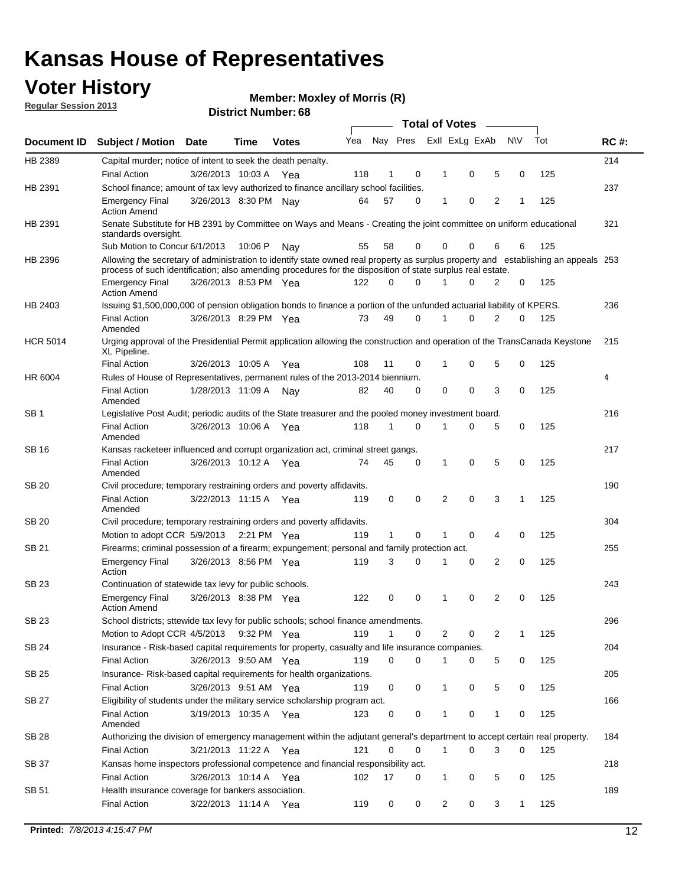### **Voter History**

**Member: Moxley of Morris (R)** 

**Regular Session 2013**

|                    |                                                                                                                                                                                                                                                  |                       |         |              |     |    |             |   | <b>Total of Votes</b>   | $\sim$         |           |     |     |
|--------------------|--------------------------------------------------------------------------------------------------------------------------------------------------------------------------------------------------------------------------------------------------|-----------------------|---------|--------------|-----|----|-------------|---|-------------------------|----------------|-----------|-----|-----|
| <b>Document ID</b> | Subject / Motion Date                                                                                                                                                                                                                            |                       | Time    | <b>Votes</b> | Yea |    |             |   | Nay Pres Exll ExLg ExAb |                | <b>NV</b> | Tot | RC# |
| HB 2389            | Capital murder; notice of intent to seek the death penalty.                                                                                                                                                                                      |                       |         |              |     |    |             |   |                         |                |           |     | 214 |
|                    | <b>Final Action</b>                                                                                                                                                                                                                              | 3/26/2013 10:03 A     |         | Yea          | 118 | 1  | 0           | 1 | 0                       | 5              | 0         | 125 |     |
| HB 2391            | School finance; amount of tax levy authorized to finance ancillary school facilities.                                                                                                                                                            |                       |         |              |     |    |             |   |                         |                |           |     | 237 |
|                    | <b>Emergency Final</b><br><b>Action Amend</b>                                                                                                                                                                                                    | 3/26/2013 8:30 PM Nay |         |              | 64  | 57 | 0           | 1 | 0                       | $\overline{2}$ | 1         | 125 |     |
| HB 2391            | Senate Substitute for HB 2391 by Committee on Ways and Means - Creating the joint committee on uniform educational<br>standards oversight.                                                                                                       |                       |         |              |     |    |             |   |                         |                |           |     | 321 |
|                    | Sub Motion to Concur 6/1/2013                                                                                                                                                                                                                    |                       | 10:06 P | Nav          | 55  | 58 | 0           |   | 0<br>0                  | 6              | 6         | 125 |     |
| HB 2396            | Allowing the secretary of administration to identify state owned real property as surplus property and establishing an appeals 253<br>process of such identification; also amending procedures for the disposition of state surplus real estate. |                       |         |              |     |    |             |   |                         |                |           |     |     |
|                    | <b>Emergency Final</b><br><b>Action Amend</b>                                                                                                                                                                                                    | 3/26/2013 8:53 PM Yea |         |              | 122 | 0  | $\Omega$    |   | $\Omega$                | 2              | 0         | 125 |     |
| HB 2403            | Issuing \$1,500,000,000 of pension obligation bonds to finance a portion of the unfunded actuarial liability of KPERS.                                                                                                                           |                       |         |              |     |    |             |   |                         |                |           |     | 236 |
|                    | <b>Final Action</b><br>Amended                                                                                                                                                                                                                   | 3/26/2013 8:29 PM Yea |         |              | 73  | 49 | $\Omega$    | 1 | 0                       | 2              | 0         | 125 |     |
| <b>HCR 5014</b>    | Urging approval of the Presidential Permit application allowing the construction and operation of the TransCanada Keystone<br>XL Pipeline.                                                                                                       |                       |         |              |     |    |             |   |                         |                |           |     | 215 |
|                    | <b>Final Action</b>                                                                                                                                                                                                                              | 3/26/2013 10:05 A     |         | Yea          | 108 | 11 | 0           | 1 | 0                       | 5              | 0         | 125 |     |
| HR 6004            | Rules of House of Representatives, permanent rules of the 2013-2014 biennium.                                                                                                                                                                    |                       |         |              |     |    |             |   |                         |                |           |     | 4   |
|                    | <b>Final Action</b><br>Amended                                                                                                                                                                                                                   | 1/28/2013 11:09 A     |         | Nav          | 82  | 40 | $\Omega$    | 0 | 0                       | 3              | $\Omega$  | 125 |     |
| SB 1               | Legislative Post Audit; periodic audits of the State treasurer and the pooled money investment board.                                                                                                                                            |                       |         |              |     |    |             |   |                         |                |           |     | 216 |
|                    | <b>Final Action</b><br>Amended                                                                                                                                                                                                                   | 3/26/2013 10:06 A     |         | Yea          | 118 | 1  | 0           | 1 | 0                       | 5              | 0         | 125 |     |
| SB 16              | Kansas racketeer influenced and corrupt organization act, criminal street gangs.                                                                                                                                                                 |                       |         |              |     |    |             |   |                         |                |           |     | 217 |
|                    | <b>Final Action</b><br>Amended                                                                                                                                                                                                                   | 3/26/2013 10:12 A     |         | Yea          | 74  | 45 | 0           | 1 | 0                       | 5              | 0         | 125 |     |
| SB 20              | Civil procedure; temporary restraining orders and poverty affidavits.                                                                                                                                                                            |                       |         |              |     |    |             |   |                         |                |           |     | 190 |
|                    | <b>Final Action</b><br>Amended                                                                                                                                                                                                                   | 3/22/2013 11:15 A     |         | Yea          | 119 | 0  | 0           |   | 2<br>0                  | 3              | 1         | 125 |     |
| <b>SB 20</b>       | Civil procedure; temporary restraining orders and poverty affidavits.                                                                                                                                                                            |                       |         |              |     |    |             |   |                         |                |           |     | 304 |
|                    | Motion to adopt CCR 5/9/2013                                                                                                                                                                                                                     |                       |         | 2:21 PM Yea  | 119 | 1  | 0           |   | 0                       | 4              | 0         | 125 |     |
| SB 21              | Firearms; criminal possession of a firearm; expungement; personal and family protection act.                                                                                                                                                     |                       |         |              |     |    |             |   |                         |                |           |     | 255 |
|                    | <b>Emergency Final</b><br>Action                                                                                                                                                                                                                 | 3/26/2013 8:56 PM Yea |         |              | 119 | 3  | $\Omega$    | 1 | 0                       | $\overline{2}$ | 0         | 125 |     |
| SB 23              | Continuation of statewide tax levy for public schools.                                                                                                                                                                                           |                       |         |              |     |    |             |   |                         |                |           |     | 243 |
|                    | <b>Emergency Final</b><br><b>Action Amend</b>                                                                                                                                                                                                    | 3/26/2013 8:38 PM Yea |         |              | 122 | 0  | 0           | 1 | 0                       | 2              | 0         | 125 |     |
| SB 23              | School districts; sttewide tax levy for public schools; school finance amendments.                                                                                                                                                               |                       |         |              |     |    |             |   |                         |                |           |     | 296 |
|                    | Motion to Adopt CCR 4/5/2013                                                                                                                                                                                                                     |                       |         | 9:32 PM Yea  | 119 | 1  | 0           |   | 2<br>0                  | 2              | 1         | 125 |     |
| SB 24              | Insurance - Risk-based capital requirements for property, casualty and life insurance companies.                                                                                                                                                 |                       |         |              |     |    |             |   |                         |                |           |     | 204 |
|                    | <b>Final Action</b>                                                                                                                                                                                                                              | 3/26/2013 9:50 AM Yea |         |              | 119 | 0  | 0           | 1 | 0                       | 5              | 0         | 125 |     |
| <b>SB 25</b>       | Insurance-Risk-based capital requirements for health organizations.                                                                                                                                                                              |                       |         |              |     |    |             |   |                         |                |           |     | 205 |
|                    | <b>Final Action</b>                                                                                                                                                                                                                              | 3/26/2013 9:51 AM Yea |         |              | 119 | 0  | 0           | 1 | 0                       | 5              | 0         | 125 |     |
| <b>SB 27</b>       | Eligibility of students under the military service scholarship program act.                                                                                                                                                                      |                       |         |              |     |    |             |   |                         |                |           |     | 166 |
|                    | <b>Final Action</b><br>Amended                                                                                                                                                                                                                   | 3/19/2013 10:35 A Yea |         |              | 123 | 0  | 0           | 1 | 0                       | 1              | 0         | 125 |     |
| SB 28              | Authorizing the division of emergency management within the adjutant general's department to accept certain real property.                                                                                                                       |                       |         |              |     |    |             |   |                         |                |           |     | 184 |
|                    | Final Action                                                                                                                                                                                                                                     | 3/21/2013 11:22 A Yea |         |              | 121 | 0  | $\mathbf 0$ |   | 0<br>$\mathbf{1}$       | 3              | 0         | 125 |     |
| <b>SB 37</b>       | Kansas home inspectors professional competence and financial responsibility act.                                                                                                                                                                 |                       |         |              |     |    |             |   |                         |                |           |     | 218 |
|                    | <b>Final Action</b>                                                                                                                                                                                                                              | 3/26/2013 10:14 A Yea |         |              | 102 | 17 | 0           |   | 0<br>1                  | 5              | 0         | 125 |     |
| SB 51              | Health insurance coverage for bankers association.                                                                                                                                                                                               |                       |         |              |     |    |             |   |                         |                |           |     | 189 |
|                    | <b>Final Action</b>                                                                                                                                                                                                                              | 3/22/2013 11:14 A Yea |         |              | 119 | 0  | 0           |   | $\overline{c}$<br>0     | 3              | 1         | 125 |     |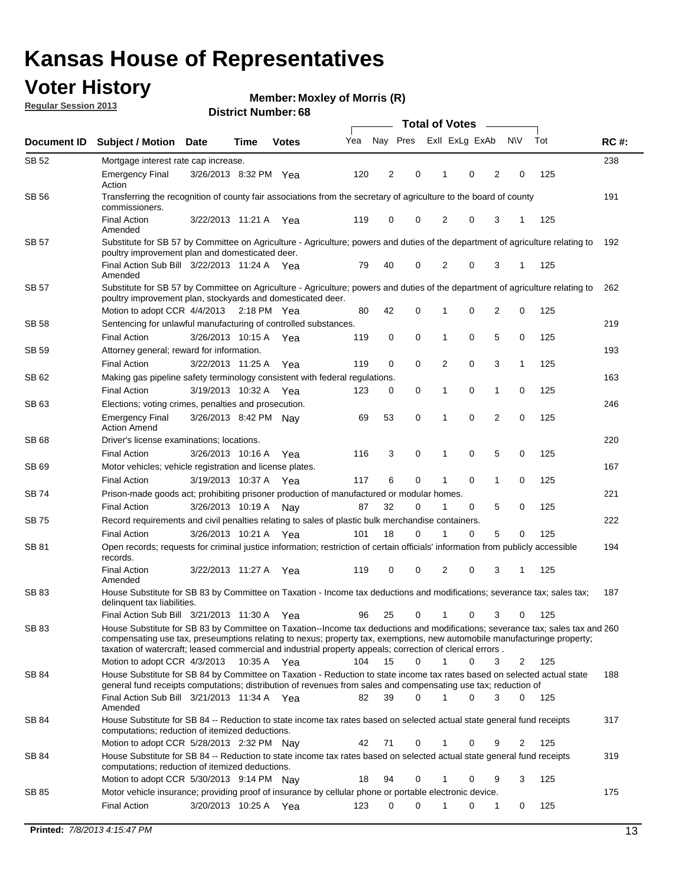### **Voter History**

**Member: Moxley of Morris (R)** 

**Regular Session 2013**

| Document ID  | <b>Subject / Motion</b>                                                                                                                                                                                                                    | <b>Date</b>           | Time | <b>Votes</b> | Yea | Nay Pres |          | Exll ExLg ExAb |             |                | <b>NV</b>      | Tot | <b>RC#:</b> |
|--------------|--------------------------------------------------------------------------------------------------------------------------------------------------------------------------------------------------------------------------------------------|-----------------------|------|--------------|-----|----------|----------|----------------|-------------|----------------|----------------|-----|-------------|
| SB 52        | Mortgage interest rate cap increase.                                                                                                                                                                                                       |                       |      |              |     |          |          |                |             |                |                |     | 238         |
|              | <b>Emergency Final</b><br>Action                                                                                                                                                                                                           | 3/26/2013 8:32 PM Yea |      |              | 120 | 2        | 0        |                | 0           | 2              | 0              | 125 |             |
| <b>SB 56</b> | Transferring the recognition of county fair associations from the secretary of agriculture to the board of county<br>commissioners.                                                                                                        |                       |      |              |     |          |          |                |             |                |                |     | 191         |
|              | <b>Final Action</b><br>Amended                                                                                                                                                                                                             | 3/22/2013 11:21 A     |      | Yea          | 119 | 0        | 0        | 2              | 0           | 3              | 1              | 125 |             |
| SB 57        | Substitute for SB 57 by Committee on Agriculture - Agriculture; powers and duties of the department of agriculture relating to<br>poultry improvement plan and domesticated deer.                                                          |                       |      |              |     |          |          |                |             |                |                |     | 192         |
|              | Final Action Sub Bill 3/22/2013 11:24 A Yea<br>Amended                                                                                                                                                                                     |                       |      |              | 79  | 40       | 0        | 2              | 0           | 3              | -1             | 125 |             |
| SB 57        | Substitute for SB 57 by Committee on Agriculture - Agriculture; powers and duties of the department of agriculture relating to<br>poultry improvement plan, stockyards and domesticated deer.                                              |                       |      |              |     |          |          |                |             |                |                |     | 262         |
|              | Motion to adopt CCR 4/4/2013 2:18 PM Yea                                                                                                                                                                                                   |                       |      |              | 80  | 42       | 0        | 1              | 0           | $\overline{2}$ | 0              | 125 |             |
| SB 58        | Sentencing for unlawful manufacturing of controlled substances.                                                                                                                                                                            |                       |      |              |     |          |          |                |             |                |                |     | 219         |
|              | <b>Final Action</b>                                                                                                                                                                                                                        | 3/26/2013 10:15 A     |      | Yea          | 119 | 0        | 0        | 1              | 0           | 5              | 0              | 125 |             |
| SB 59        | Attorney general; reward for information.                                                                                                                                                                                                  |                       |      |              |     |          |          |                |             |                |                |     | 193         |
|              | <b>Final Action</b>                                                                                                                                                                                                                        | 3/22/2013 11:25 A     |      | Yea          | 119 | 0        | 0        | 2              | 0           | 3              | 1              | 125 |             |
| SB 62        | Making gas pipeline safety terminology consistent with federal regulations.                                                                                                                                                                |                       |      |              |     |          |          |                |             |                |                |     | 163         |
|              | <b>Final Action</b>                                                                                                                                                                                                                        | 3/19/2013 10:32 A     |      | Yea          | 123 | 0        | 0        | 1              | 0           | 1              | 0              | 125 |             |
| SB 63        | Elections; voting crimes, penalties and prosecution.                                                                                                                                                                                       |                       |      |              |     |          |          |                |             |                |                |     | 246         |
|              | <b>Emergency Final</b><br><b>Action Amend</b>                                                                                                                                                                                              | 3/26/2013 8:42 PM Nay |      |              | 69  | 53       | 0        | 1              | $\mathbf 0$ | $\overline{2}$ | $\mathbf 0$    | 125 |             |
| <b>SB68</b>  | Driver's license examinations; locations.                                                                                                                                                                                                  |                       |      |              |     |          |          |                |             |                |                |     | 220         |
|              | <b>Final Action</b>                                                                                                                                                                                                                        | 3/26/2013 10:16 A     |      | Yea          | 116 | 3        | 0        | 1              | 0           | 5              | 0              | 125 |             |
| SB 69        | Motor vehicles; vehicle registration and license plates.                                                                                                                                                                                   |                       |      |              |     |          |          |                |             |                |                |     | 167         |
|              | <b>Final Action</b>                                                                                                                                                                                                                        | 3/19/2013 10:37 A     |      | Yea          | 117 | 6        | 0        | 1              | 0           | 1              | 0              | 125 |             |
| SB 74        | Prison-made goods act; prohibiting prisoner production of manufactured or modular homes.                                                                                                                                                   |                       |      |              |     |          |          |                |             |                |                |     | 221         |
|              | <b>Final Action</b>                                                                                                                                                                                                                        | 3/26/2013 10:19 A     |      | Nay          | 87  | 32       | 0        | 1              | 0           | 5              | 0              | 125 |             |
| SB 75        | Record requirements and civil penalties relating to sales of plastic bulk merchandise containers.                                                                                                                                          |                       |      |              |     |          |          |                |             |                |                |     | 222         |
|              | <b>Final Action</b>                                                                                                                                                                                                                        | 3/26/2013 10:21 A     |      | Yea          | 101 | 18       | 0        | 1              | 0           | 5              | 0              | 125 |             |
| SB 81        | Open records; requests for criminal justice information; restriction of certain officials' information from publicly accessible<br>records.<br><b>Final Action</b>                                                                         | 3/22/2013 11:27 A     |      |              | 119 | 0        | 0        | 2              | 0           | 3              | 1              | 125 | 194         |
| <b>SB83</b>  | Amended                                                                                                                                                                                                                                    |                       |      | Yea          |     |          |          |                |             |                |                |     | 187         |
|              | House Substitute for SB 83 by Committee on Taxation - Income tax deductions and modifications; severance tax; sales tax;<br>delinquent tax liabilities.<br>Final Action Sub Bill 3/21/2013 11:30 A Yea                                     |                       |      |              | 96  | 25       | 0        | $\mathbf{1}$   | 0           | 3              | 0              | 125 |             |
| SB 83        | House Substitute for SB 83 by Committee on Taxation--Income tax deductions and modifications; severance tax; sales tax and 260                                                                                                             |                       |      |              |     |          |          |                |             |                |                |     |             |
|              | compensating use tax, preseumptions relating to nexus; property tax, exemptions, new automobile manufacturinge property;<br>taxation of watercraft; leased commercial and industrial property appeals; correction of clerical errors.      |                       |      |              |     |          |          |                |             |                |                |     |             |
|              | Motion to adopt CCR 4/3/2013 10:35 A Yea                                                                                                                                                                                                   |                       |      |              | 104 | 15       | 0        | $\mathbf{1}$   | 0           | 3              | 2              | 125 |             |
| SB 84        | House Substitute for SB 84 by Committee on Taxation - Reduction to state income tax rates based on selected actual state<br>general fund receipts computations; distribution of revenues from sales and compensating use tax; reduction of |                       |      |              |     | 39       | $\Omega$ |                | $\Omega$    | 3              | $\mathbf{0}$   |     | 188         |
|              | Final Action Sub Bill 3/21/2013 11:34 A Yea<br>Amended<br>House Substitute for SB 84 -- Reduction to state income tax rates based on selected actual state general fund receipts                                                           |                       |      |              | 82  |          |          |                |             |                |                | 125 |             |
| SB 84        | computations; reduction of itemized deductions.<br>Motion to adopt CCR 5/28/2013 2:32 PM Nay                                                                                                                                               |                       |      |              | 42  | 71       | 0        | 1              | 0           | 9              | $\overline{2}$ | 125 | 317         |
| SB 84        |                                                                                                                                                                                                                                            |                       |      |              |     |          |          |                |             |                |                |     | 319         |
|              | House Substitute for SB 84 -- Reduction to state income tax rates based on selected actual state general fund receipts<br>computations; reduction of itemized deductions.<br>Motion to adopt CCR 5/30/2013 9:14 PM Nay                     |                       |      |              | 18  | 94       | 0        | 1              | 0           | 9              | 3              | 125 |             |
| SB 85        | Motor vehicle insurance; providing proof of insurance by cellular phone or portable electronic device.                                                                                                                                     |                       |      |              |     |          |          |                |             |                |                |     | 175         |
|              | <b>Final Action</b>                                                                                                                                                                                                                        | 3/20/2013 10:25 A Yea |      |              | 123 | $\Omega$ | $\Omega$ |                | 0           | 1              | 0              | 125 |             |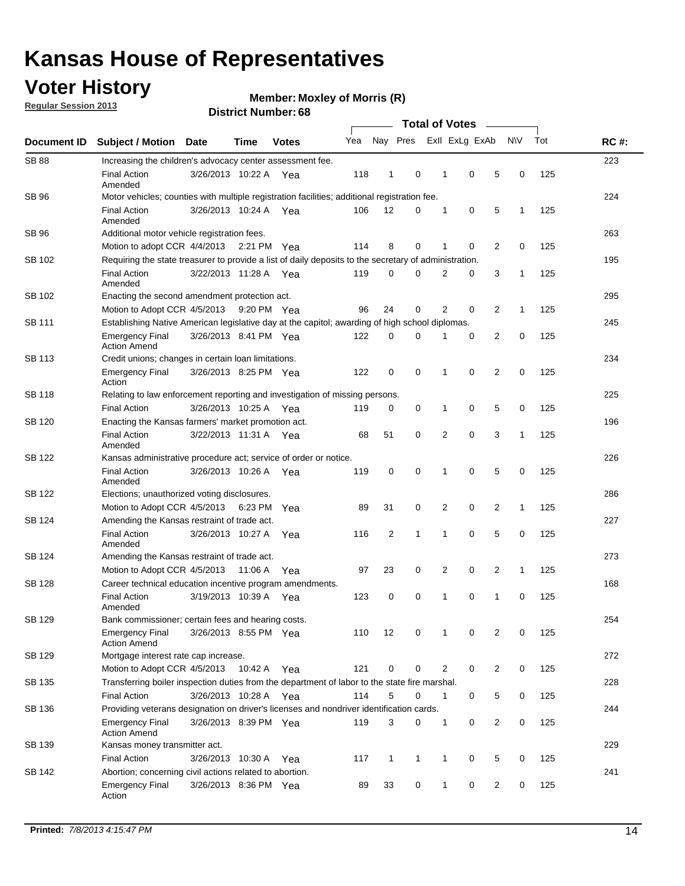### **Voter History**

**Member: Moxley of Morris (R)** 

**Regular Session 2013**

|              |                                                                                                       | <b>Total of Votes</b>                                                                          |             |              |     |                |             |  |                |                |                |              |     |             |
|--------------|-------------------------------------------------------------------------------------------------------|------------------------------------------------------------------------------------------------|-------------|--------------|-----|----------------|-------------|--|----------------|----------------|----------------|--------------|-----|-------------|
| Document ID  | <b>Subject / Motion</b>                                                                               | Date                                                                                           | <b>Time</b> | <b>Votes</b> | Yea |                | Nay Pres    |  |                | Exll ExLg ExAb |                | <b>NV</b>    | Tot | <b>RC#:</b> |
| <b>SB 88</b> | Increasing the children's advocacy center assessment fee.                                             |                                                                                                |             |              |     |                |             |  |                |                |                |              |     | 223         |
|              | <b>Final Action</b><br>Amended                                                                        | 3/26/2013 10:22 A Yea                                                                          |             |              | 118 | 1              | 0           |  | 1              | 0              | 5              | 0            | 125 |             |
| <b>SB 96</b> | Motor vehicles; counties with multiple registration facilities; additional registration fee.          |                                                                                                |             |              |     |                |             |  |                |                |                |              |     | 224         |
|              | <b>Final Action</b><br>Amended                                                                        | 3/26/2013 10:24 A                                                                              |             | Yea          | 106 | 12             | 0           |  | 1              | 0              | 5              | $\mathbf{1}$ | 125 |             |
| <b>SB 96</b> | Additional motor vehicle registration fees.                                                           |                                                                                                |             |              |     |                |             |  |                |                |                |              |     | 263         |
|              | Motion to adopt CCR 4/4/2013 2:21 PM Yea                                                              |                                                                                                |             |              | 114 | 8              | 0           |  | 1              | 0              | 2              | $\mathbf 0$  | 125 |             |
| SB 102       | Requiring the state treasurer to provide a list of daily deposits to the secretary of administration. |                                                                                                |             |              |     |                |             |  |                |                |                |              |     | 195         |
|              | <b>Final Action</b><br>Amended                                                                        | 3/22/2013 11:28 A                                                                              |             | Yea          | 119 | 0              | 0           |  | 2              | 0              | 3              | 1            | 125 |             |
| SB 102       | Enacting the second amendment protection act.                                                         |                                                                                                |             |              |     |                |             |  |                |                |                |              |     | 295         |
|              | Motion to Adopt CCR 4/5/2013 9:20 PM Yea                                                              |                                                                                                |             |              | 96  | 24             | 0           |  | 2              | 0              | 2              | $\mathbf{1}$ | 125 |             |
| SB 111       |                                                                                                       | Establishing Native American legislative day at the capitol; awarding of high school diplomas. |             |              |     |                |             |  |                |                |                |              | 245 |             |
|              | Emergency Final<br><b>Action Amend</b>                                                                | 3/26/2013 8:41 PM Yea                                                                          |             |              | 122 | 0              | $\Omega$    |  | 1              | 0              | 2              | 0            | 125 |             |
| SB 113       | Credit unions; changes in certain loan limitations.                                                   |                                                                                                |             |              |     |                |             |  |                |                |                |              |     | 234         |
|              | <b>Emergency Final</b><br>Action                                                                      | 3/26/2013 8:25 PM Yea                                                                          |             |              | 122 | 0              | 0           |  | 1              | 0              | $\overline{2}$ | 0            | 125 |             |
| SB 118       | Relating to law enforcement reporting and investigation of missing persons.                           |                                                                                                |             |              |     |                |             |  |                |                |                |              |     | 225         |
|              | <b>Final Action</b>                                                                                   | 3/26/2013 10:25 A Yea                                                                          |             |              | 119 | 0              | 0           |  | 1              | 0              | 5              | 0            | 125 |             |
| SB 120       | Enacting the Kansas farmers' market promotion act.                                                    |                                                                                                |             |              |     |                |             |  |                |                |                |              |     | 196         |
|              | <b>Final Action</b><br>Amended                                                                        | 3/22/2013 11:31 A Yea                                                                          |             |              | 68  | 51             | 0           |  | $\overline{2}$ | 0              | 3              | 1            | 125 |             |
| SB 122       | Kansas administrative procedure act; service of order or notice.                                      |                                                                                                |             |              |     |                |             |  |                |                |                |              |     | 226         |
|              | <b>Final Action</b><br>Amended                                                                        | 3/26/2013 10:26 A Yea                                                                          |             |              | 119 | 0              | 0           |  | 1              | 0              | 5              | 0            | 125 |             |
| SB 122       | Elections; unauthorized voting disclosures.                                                           |                                                                                                |             |              |     |                |             |  |                |                |                |              |     | 286         |
|              | Motion to Adopt CCR 4/5/2013                                                                          |                                                                                                | 6:23 PM Yea |              | 89  | 31             | 0           |  | 2              | 0              | 2              | 1            | 125 |             |
| SB 124       | Amending the Kansas restraint of trade act.                                                           |                                                                                                |             |              |     |                |             |  |                |                |                |              |     | 227         |
|              | <b>Final Action</b><br>Amended                                                                        | 3/26/2013 10:27 A                                                                              |             | Yea          | 116 | 2              | 1           |  | 1              | 0              | 5              | $\mathbf 0$  | 125 |             |
| SB 124       | Amending the Kansas restraint of trade act.                                                           |                                                                                                |             |              |     |                |             |  |                |                |                |              |     | 273         |
|              | Motion to Adopt CCR 4/5/2013                                                                          |                                                                                                | 11:06 A     | Yea          | 97  | 23             | 0           |  | 2              | 0              | 2              | 1            | 125 |             |
| SB 128       | Career technical education incentive program amendments.                                              |                                                                                                |             |              |     |                |             |  |                |                |                |              |     | 168         |
|              | <b>Final Action</b><br>Amended                                                                        | 3/19/2013 10:39 A                                                                              |             | Yea          | 123 | 0              | 0           |  | 1              | 0              | 1              | 0            | 125 |             |
| SB 129       | Bank commissioner; certain fees and hearing costs.                                                    |                                                                                                |             |              |     |                |             |  |                |                |                |              |     | 254         |
|              | <b>Emergency Final</b><br><b>Action Amend</b>                                                         | 3/26/2013 8:55 PM Yea                                                                          |             |              | 110 | 12             | 0           |  | 1              | 0              | 2              | 0            | 125 |             |
| SB 129       | Mortgage interest rate cap increase.                                                                  |                                                                                                |             |              |     |                |             |  |                |                |                |              |     | 272         |
|              | Motion to Adopt CCR 4/5/2013                                                                          |                                                                                                | 10:42 A Yea |              | 121 | 0              | 0           |  | 2              | 0              | 2              | 0            | 125 |             |
| SB 135       | Transferring boiler inspection duties from the department of labor to the state fire marshal.         |                                                                                                |             |              |     |                |             |  |                |                |                |              |     | 228         |
|              | <b>Final Action</b>                                                                                   | 3/26/2013 10:28 A Yea                                                                          |             |              | 114 | 5              | $\mathbf 0$ |  | 1              | 0              | 5              | 0            | 125 |             |
| SB 136       | Providing veterans designation on driver's licenses and nondriver identification cards.               |                                                                                                |             |              |     |                |             |  |                |                |                |              |     | 244         |
|              | <b>Emergency Final</b><br><b>Action Amend</b>                                                         | 3/26/2013 8:39 PM Yea                                                                          |             |              | 119 | 3              | 0           |  | 1              | 0              | 2              | 0            | 125 |             |
| SB 139       | Kansas money transmitter act.                                                                         |                                                                                                |             |              |     |                |             |  |                |                |                |              |     | 229         |
|              | <b>Final Action</b>                                                                                   | 3/26/2013 10:30 A Yea                                                                          |             |              | 117 | $\overline{1}$ | 1           |  | $\mathbf{1}$   | 0              | 5              | 0            | 125 |             |
| SB 142       | Abortion; concerning civil actions related to abortion.                                               |                                                                                                |             |              |     |                |             |  |                |                |                |              |     | 241         |
|              | <b>Emergency Final</b><br>Action                                                                      | 3/26/2013 8:36 PM Yea                                                                          |             |              | 89  | 33             | 0           |  | $\mathbf{1}$   | 0              | 2              | 0            | 125 |             |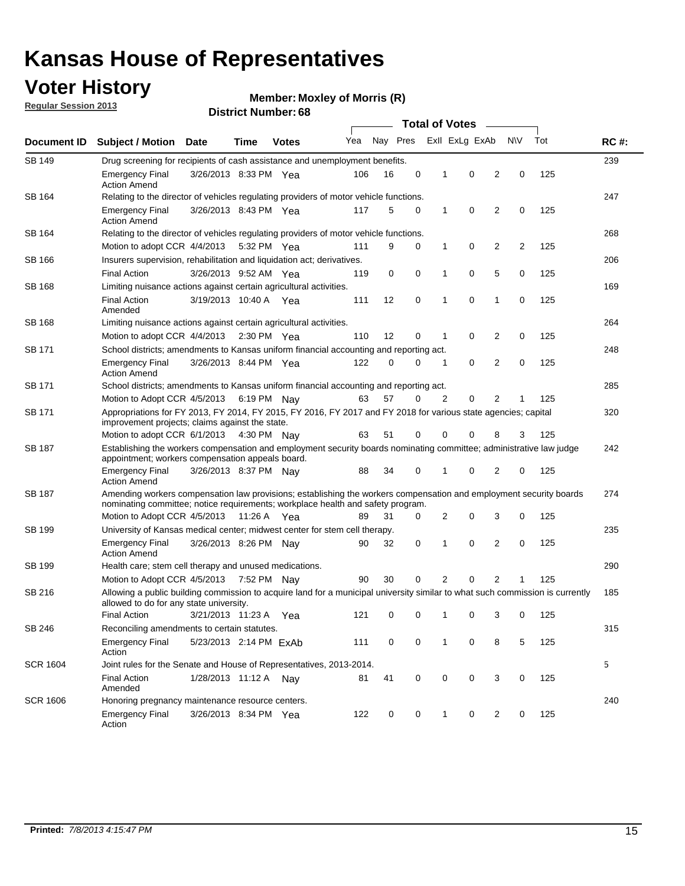### **Voter History**

**Member: Moxley of Morris (R)** 

**Regular Session 2013**

|                 |                                                                                                                                                                                                       |                                                                                                                                                                   |             |              |     |          |   | <b>Total of Votes</b><br>$\sim$ |                |                |           |     |             |  |
|-----------------|-------------------------------------------------------------------------------------------------------------------------------------------------------------------------------------------------------|-------------------------------------------------------------------------------------------------------------------------------------------------------------------|-------------|--------------|-----|----------|---|---------------------------------|----------------|----------------|-----------|-----|-------------|--|
| Document ID     | <b>Subject / Motion Date</b>                                                                                                                                                                          |                                                                                                                                                                   | Time        | <b>Votes</b> | Yea | Nay Pres |   |                                 | Exll ExLg ExAb |                | <b>NV</b> | Tot | <b>RC#:</b> |  |
| SB 149          | Drug screening for recipients of cash assistance and unemployment benefits.                                                                                                                           |                                                                                                                                                                   |             |              |     |          |   |                                 |                |                |           |     | 239         |  |
|                 | <b>Emergency Final</b><br><b>Action Amend</b>                                                                                                                                                         | 3/26/2013 8:33 PM Yea                                                                                                                                             |             |              | 106 | 16       | 0 | 1                               | 0              | 2              | 0         | 125 |             |  |
| SB 164          | Relating to the director of vehicles regulating providers of motor vehicle functions.                                                                                                                 |                                                                                                                                                                   |             |              |     |          |   |                                 |                |                |           |     | 247         |  |
|                 | <b>Emergency Final</b><br><b>Action Amend</b>                                                                                                                                                         | 3/26/2013 8:43 PM Yea                                                                                                                                             |             |              | 117 | 5        | 0 | 1                               | 0              | 2              | 0         | 125 |             |  |
| SB 164          |                                                                                                                                                                                                       | Relating to the director of vehicles regulating providers of motor vehicle functions.                                                                             |             |              |     |          |   |                                 |                |                |           |     | 268         |  |
|                 | Motion to adopt CCR 4/4/2013                                                                                                                                                                          |                                                                                                                                                                   | 5:32 PM Yea |              | 111 | 9        | 0 | 1                               | 0              | 2              | 2         | 125 |             |  |
| SB 166          |                                                                                                                                                                                                       | Insurers supervision, rehabilitation and liquidation act; derivatives.                                                                                            |             |              |     |          |   |                                 |                |                |           | 206 |             |  |
|                 | <b>Final Action</b>                                                                                                                                                                                   | 3/26/2013 9:52 AM Yea                                                                                                                                             |             |              | 119 | 0        | 0 | 1                               | 0              | 5              | 0         | 125 |             |  |
| SB 168          | Limiting nuisance actions against certain agricultural activities.                                                                                                                                    |                                                                                                                                                                   |             |              |     |          |   |                                 |                |                |           |     | 169         |  |
|                 | <b>Final Action</b><br>Amended                                                                                                                                                                        | 3/19/2013 10:40 A Yea                                                                                                                                             |             |              | 111 | 12       | 0 | 1                               | 0              | 1              | 0         | 125 |             |  |
| SB 168          | Limiting nuisance actions against certain agricultural activities.                                                                                                                                    |                                                                                                                                                                   |             |              |     |          |   |                                 |                |                |           |     | 264         |  |
|                 | Motion to adopt CCR 4/4/2013                                                                                                                                                                          |                                                                                                                                                                   | 2:30 PM Yea |              | 110 | 12       | 0 | 1                               | 0              | 2              | 0         | 125 |             |  |
| <b>SB 171</b>   | School districts; amendments to Kansas uniform financial accounting and reporting act.                                                                                                                |                                                                                                                                                                   |             |              |     |          |   |                                 |                |                |           |     | 248         |  |
|                 | <b>Emergency Final</b><br><b>Action Amend</b>                                                                                                                                                         | 3/26/2013 8:44 PM Yea                                                                                                                                             |             |              | 122 | 0        | 0 | 1                               | 0              | 2              | 0         | 125 |             |  |
| SB 171          | School districts; amendments to Kansas uniform financial accounting and reporting act.                                                                                                                |                                                                                                                                                                   |             |              |     |          |   |                                 |                |                |           | 285 |             |  |
|                 |                                                                                                                                                                                                       | Motion to Adopt CCR 4/5/2013 6:19 PM Nay<br>57<br>2<br>0<br>2<br>125<br>63<br>0<br>1                                                                              |             |              |     |          |   |                                 |                |                |           |     |             |  |
| SB 171          |                                                                                                                                                                                                       | Appropriations for FY 2013, FY 2014, FY 2015, FY 2016, FY 2017 and FY 2018 for various state agencies; capital<br>improvement projects; claims against the state. |             |              |     |          |   |                                 |                | 320            |           |     |             |  |
|                 | Motion to adopt CCR 6/1/2013 4:30 PM Nay                                                                                                                                                              |                                                                                                                                                                   |             |              | 63  | 51       | 0 | 0                               | 0              | 8              | 3         | 125 |             |  |
| SB 187          | Establishing the workers compensation and employment security boards nominating committee; administrative law judge<br>appointment; workers compensation appeals board.                               |                                                                                                                                                                   |             |              |     |          |   |                                 |                |                |           | 242 |             |  |
|                 | <b>Emergency Final</b><br><b>Action Amend</b>                                                                                                                                                         | 3/26/2013 8:37 PM Nay                                                                                                                                             |             |              | 88  | 34       | 0 | 1                               | 0              | 2              | 0         | 125 |             |  |
| SB 187          | Amending workers compensation law provisions; establishing the workers compensation and employment security boards<br>nominating committee; notice requirements; workplace health and safety program. |                                                                                                                                                                   |             |              |     |          |   |                                 |                |                |           | 274 |             |  |
|                 | Motion to Adopt CCR 4/5/2013 11:26 A Yea                                                                                                                                                              |                                                                                                                                                                   |             |              | 89  | 31       | 0 | 2                               | 0              | 3              | 0         | 125 |             |  |
| SB 199          | University of Kansas medical center; midwest center for stem cell therapy.                                                                                                                            |                                                                                                                                                                   |             |              |     |          |   |                                 |                |                |           |     | 235         |  |
|                 | <b>Emergency Final</b><br><b>Action Amend</b>                                                                                                                                                         | 3/26/2013 8:26 PM Nav                                                                                                                                             |             |              | 90  | 32       | 0 | 1                               | 0              | 2              | 0         | 125 |             |  |
| SB 199          | Health care; stem cell therapy and unused medications.                                                                                                                                                |                                                                                                                                                                   |             |              |     |          |   |                                 |                |                |           |     | 290         |  |
|                 | Motion to Adopt CCR 4/5/2013                                                                                                                                                                          |                                                                                                                                                                   | 7:52 PM Nay |              | 90  | 30       | 0 | 2                               | 0              | $\overline{2}$ | 1         | 125 |             |  |
| SB 216          | Allowing a public building commission to acquire land for a municipal university similar to what such commission is currently<br>allowed to do for any state university.                              |                                                                                                                                                                   |             |              |     |          |   |                                 |                |                |           |     | 185         |  |
|                 | <b>Final Action</b>                                                                                                                                                                                   | 3/21/2013 11:23 A Yea                                                                                                                                             |             |              | 121 | 0        | 0 | 1                               | 0              | 3              | 0         | 125 |             |  |
| SB 246          | Reconciling amendments to certain statutes.                                                                                                                                                           |                                                                                                                                                                   |             |              |     |          |   |                                 |                |                |           |     | 315         |  |
|                 | <b>Emergency Final</b><br>Action                                                                                                                                                                      | 5/23/2013 2:14 PM ExAb                                                                                                                                            |             |              | 111 | 0        | 0 | 1                               | 0              | 8              | 5         | 125 |             |  |
| <b>SCR 1604</b> | Joint rules for the Senate and House of Representatives, 2013-2014.                                                                                                                                   |                                                                                                                                                                   |             |              |     |          |   |                                 |                |                |           |     | 5           |  |
|                 | <b>Final Action</b><br>Amended                                                                                                                                                                        | 1/28/2013 11:12 A Nay                                                                                                                                             |             |              | 81  | 41       | 0 | 0                               | 0              | 3              | 0         | 125 |             |  |
| <b>SCR 1606</b> | Honoring pregnancy maintenance resource centers.                                                                                                                                                      |                                                                                                                                                                   |             |              |     |          |   |                                 |                |                |           |     | 240         |  |
|                 | Emergency Final<br>Action                                                                                                                                                                             | 3/26/2013 8:34 PM Yea                                                                                                                                             |             |              | 122 | 0        | 0 | 1                               | 0              | 2              | 0         | 125 |             |  |